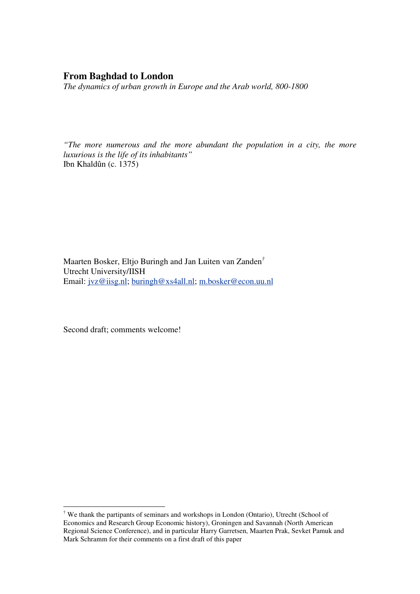# **From Baghdad to London**

*The dynamics of urban growth in Europe and the Arab world, 800-1800* 

*"The more numerous and the more abundant the population in a city, the more luxurious is the life of its inhabitants"*  Ibn Khaldûn (c. 1375)

Maarten Bosker, Eltjo Buringh and Jan Luiten van Zanden*†* Utrecht University/IISH Email: jvz@iisg.nl; buringh@xs4all.nl; m.bosker@econ.uu.nl

Second draft; comments welcome!

<sup>†</sup> We thank the partipants of seminars and workshops in London (Ontario), Utrecht (School of Economics and Research Group Economic history), Groningen and Savannah (North American Regional Science Conference), and in particular Harry Garretsen, Maarten Prak, Sevket Pamuk and Mark Schramm for their comments on a first draft of this paper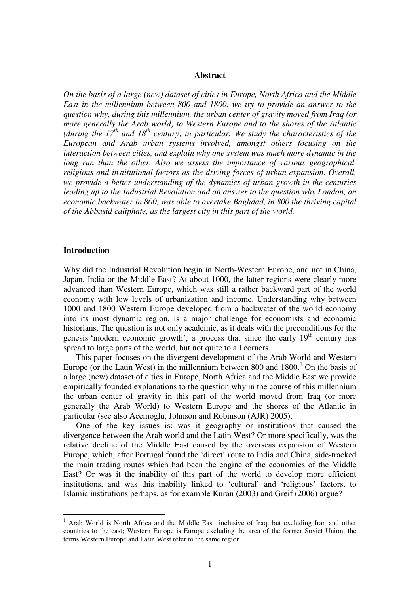#### **Abstract**

*On the basis of a large (new) dataset of cities in Europe, North Africa and the Middle East in the millennium between 800 and 1800, we try to provide an answer to the question why, during this millennium, the urban center of gravity moved from Iraq (or more generally the Arab world) to Western Europe and to the shores of the Atlantic (during the 17th and 18th century) in particular. We study the characteristics of the European and Arab urban systems involved, amongst others focusing on the interaction between cities, and explain why one system was much more dynamic in the long run than the other. Also we assess the importance of various geographical, religious and institutional factors as the driving forces of urban expansion. Overall, we provide a better understanding of the dynamics of urban growth in the centuries leading up to the Industrial Revolution and an answer to the question why London, an economic backwater in 800, was able to overtake Baghdad, in 800 the thriving capital of the Abbasid caliphate, as the largest city in this part of the world.* 

### **Introduction**

 $\overline{a}$ 

Why did the Industrial Revolution begin in North-Western Europe, and not in China, Japan, India or the Middle East? At about 1000, the latter regions were clearly more advanced than Western Europe, which was still a rather backward part of the world economy with low levels of urbanization and income. Understanding why between 1000 and 1800 Western Europe developed from a backwater of the world economy into its most dynamic region, is a major challenge for economists and economic historians. The question is not only academic, as it deals with the preconditions for the genesis 'modern economic growth', a process that since the early  $19<sup>th</sup>$  century has spread to large parts of the world, but not quite to all corners.

This paper focuses on the divergent development of the Arab World and Western Europe (or the Latin West) in the millennium between  $800$  and  $1800$ .<sup>1</sup> On the basis of a large (new) dataset of cities in Europe, North Africa and the Middle East we provide empirically founded explanations to the question why in the course of this millennium the urban center of gravity in this part of the world moved from Iraq (or more generally the Arab World) to Western Europe and the shores of the Atlantic in particular (see also Acemoglu, Johnson and Robinson (AJR) 2005).

One of the key issues is: was it geography or institutions that caused the divergence between the Arab world and the Latin West? Or more specifically, was the relative decline of the Middle East caused by the overseas expansion of Western Europe, which, after Portugal found the 'direct' route to India and China, side-tracked the main trading routes which had been the engine of the economies of the Middle East? Or was it the inability of this part of the world to develop more efficient institutions, and was this inability linked to 'cultural' and 'religious' factors, to Islamic institutions perhaps, as for example Kuran (2003) and Greif (2006) argue?

<sup>&</sup>lt;sup>1</sup> Arab World is North Africa and the Middle East, inclusive of Iraq, but excluding Iran and other countries to the east; Western Europe is Europe excluding the area of the former Soviet Union; the terms Western Europe and Latin West refer to the same region.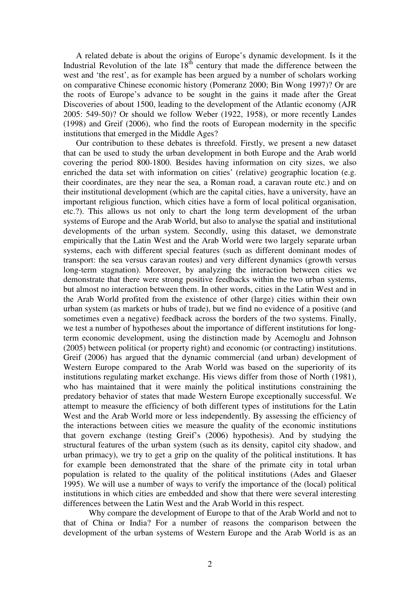A related debate is about the origins of Europe's dynamic development. Is it the Industrial Revolution of the late  $18^{th}$  century that made the difference between the west and 'the rest', as for example has been argued by a number of scholars working on comparative Chinese economic history (Pomeranz 2000; Bin Wong 1997)? Or are the roots of Europe's advance to be sought in the gains it made after the Great Discoveries of about 1500, leading to the development of the Atlantic economy (AJR 2005: 549-50)? Or should we follow Weber (1922, 1958), or more recently Landes (1998) and Greif (2006), who find the roots of European modernity in the specific institutions that emerged in the Middle Ages?

Our contribution to these debates is threefold. Firstly, we present a new dataset that can be used to study the urban development in both Europe and the Arab world covering the period 800-1800. Besides having information on city sizes, we also enriched the data set with information on cities' (relative) geographic location (e.g. their coordinates, are they near the sea, a Roman road, a caravan route etc.) and on their institutional development (which are the capital cities, have a university, have an important religious function, which cities have a form of local political organisation, etc.?). This allows us not only to chart the long term development of the urban systems of Europe and the Arab World, but also to analyse the spatial and institutional developments of the urban system. Secondly, using this dataset, we demonstrate empirically that the Latin West and the Arab World were two largely separate urban systems, each with different special features (such as different dominant modes of transport: the sea versus caravan routes) and very different dynamics (growth versus long-term stagnation). Moreover, by analyzing the interaction between cities we demonstrate that there were strong positive feedbacks within the two urban systems, but almost no interaction between them. In other words, cities in the Latin West and in the Arab World profited from the existence of other (large) cities within their own urban system (as markets or hubs of trade), but we find no evidence of a positive (and sometimes even a negative) feedback across the borders of the two systems. Finally, we test a number of hypotheses about the importance of different institutions for longterm economic development, using the distinction made by Acemoglu and Johnson (2005) between political (or property right) and economic (or contracting) institutions. Greif (2006) has argued that the dynamic commercial (and urban) development of Western Europe compared to the Arab World was based on the superiority of its institutions regulating market exchange. His views differ from those of North (1981), who has maintained that it were mainly the political institutions constraining the predatory behavior of states that made Western Europe exceptionally successful. We attempt to measure the efficiency of both different types of institutions for the Latin West and the Arab World more or less independently. By assessing the efficiency of the interactions between cities we measure the quality of the economic institutions that govern exchange (testing Greif's (2006) hypothesis). And by studying the structural features of the urban system (such as its density, capitol city shadow, and urban primacy), we try to get a grip on the quality of the political institutions. It has for example been demonstrated that the share of the primate city in total urban population is related to the quality of the political institutions (Ades and Glaeser 1995). We will use a number of ways to verify the importance of the (local) political institutions in which cities are embedded and show that there were several interesting differences between the Latin West and the Arab World in this respect.

Why compare the development of Europe to that of the Arab World and not to that of China or India? For a number of reasons the comparison between the development of the urban systems of Western Europe and the Arab World is as an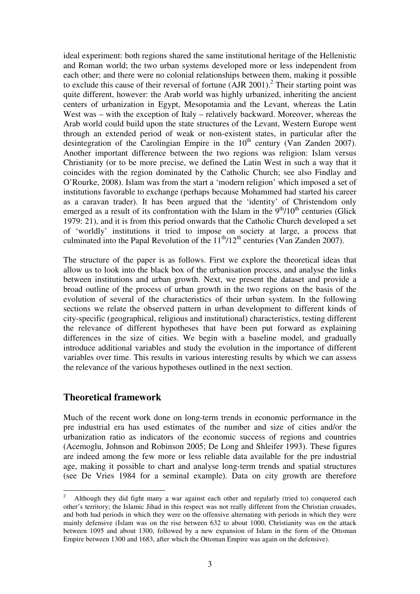ideal experiment: both regions shared the same institutional heritage of the Hellenistic and Roman world; the two urban systems developed more or less independent from each other; and there were no colonial relationships between them, making it possible to exclude this cause of their reversal of fortune  $(AIR 2001)$ .<sup>2</sup> Their starting point was quite different, however: the Arab world was highly urbanized, inheriting the ancient centers of urbanization in Egypt, Mesopotamia and the Levant, whereas the Latin West was – with the exception of Italy – relatively backward. Moreover, whereas the Arab world could build upon the state structures of the Levant, Western Europe went through an extended period of weak or non-existent states, in particular after the desintegration of the Carolingian Empire in the  $10<sup>th</sup>$  century (Van Zanden 2007). Another important difference between the two regions was religion: Islam versus Christianity (or to be more precise, we defined the Latin West in such a way that it coincides with the region dominated by the Catholic Church; see also Findlay and O'Rourke, 2008). Islam was from the start a 'modern religion' which imposed a set of institutions favorable to exchange (perhaps because Mohammed had started his career as a caravan trader). It has been argued that the 'identity' of Christendom only emerged as a result of its confrontation with the Islam in the  $9<sup>th</sup>/10<sup>th</sup>$  centuries (Glick 1979: 21), and it is from this period onwards that the Catholic Church developed a set of 'worldly' institutions it tried to impose on society at large, a process that culminated into the Papal Revolution of the  $11<sup>th</sup>/12<sup>th</sup>$  centuries (Van Zanden 2007).

The structure of the paper is as follows. First we explore the theoretical ideas that allow us to look into the black box of the urbanisation process, and analyse the links between institutions and urban growth. Next, we present the dataset and provide a broad outline of the process of urban growth in the two regions on the basis of the evolution of several of the characteristics of their urban system. In the following sections we relate the observed pattern in urban development to different kinds of city-specific (geographical, religious and institutional) characteristics, testing different the relevance of different hypotheses that have been put forward as explaining differences in the size of cities. We begin with a baseline model, and gradually introduce additional variables and study the evolution in the importance of different variables over time. This results in various interesting results by which we can assess the relevance of the various hypotheses outlined in the next section.

# **Theoretical framework**

 $\overline{a}$ 

Much of the recent work done on long-term trends in economic performance in the pre industrial era has used estimates of the number and size of cities and/or the urbanization ratio as indicators of the economic success of regions and countries (Acemoglu, Johnson and Robinson 2005; De Long and Shleifer 1993). These figures are indeed among the few more or less reliable data available for the pre industrial age, making it possible to chart and analyse long-term trends and spatial structures (see De Vries 1984 for a seminal example). Data on city growth are therefore

<sup>2</sup> Although they did fight many a war against each other and regularly (tried to) conquered each other's territory; the Islamic Jihad in this respect was not really different from the Christian crusades, and both had periods in which they were on the offensive alternating with periods in which they were mainly defensive (Islam was on the rise between 632 to about 1000, Christianity was on the attack between 1095 and about 1300, followed by a new expansion of Islam in the form of the Ottoman Empire between 1300 and 1683, after which the Ottoman Empire was again on the defensive).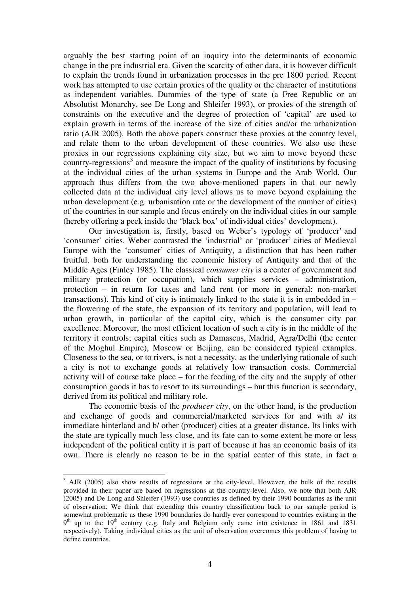arguably the best starting point of an inquiry into the determinants of economic change in the pre industrial era. Given the scarcity of other data, it is however difficult to explain the trends found in urbanization processes in the pre 1800 period. Recent work has attempted to use certain proxies of the quality or the character of institutions as independent variables. Dummies of the type of state (a Free Republic or an Absolutist Monarchy, see De Long and Shleifer 1993), or proxies of the strength of constraints on the executive and the degree of protection of 'capital' are used to explain growth in terms of the increase of the size of cities and/or the urbanization ratio (AJR 2005). Both the above papers construct these proxies at the country level, and relate them to the urban development of these countries. We also use these proxies in our regressions explaining city size, but we aim to move beyond these country-regressions<sup>3</sup> and measure the impact of the quality of institutions by focusing at the individual cities of the urban systems in Europe and the Arab World. Our approach thus differs from the two above-mentioned papers in that our newly collected data at the individual city level allows us to move beyond explaining the urban development (e.g. urbanisation rate or the development of the number of cities) of the countries in our sample and focus entirely on the individual cities in our sample (hereby offering a peek inside the 'black box' of individual cities' development).

Our investigation is, firstly, based on Weber's typology of 'producer' and 'consumer' cities. Weber contrasted the 'industrial' or 'producer' cities of Medieval Europe with the 'consumer' cities of Antiquity, a distinction that has been rather fruitful, both for understanding the economic history of Antiquity and that of the Middle Ages (Finley 1985). The classical *consumer city* is a center of government and military protection (or occupation), which supplies services – administration, protection – in return for taxes and land rent (or more in general: non-market transactions). This kind of city is intimately linked to the state it is in embedded in – the flowering of the state, the expansion of its territory and population, will lead to urban growth, in particular of the capital city, which is the consumer city par excellence. Moreover, the most efficient location of such a city is in the middle of the territory it controls; capital cities such as Damascus, Madrid, Agra/Delhi (the center of the Moghul Empire), Moscow or Beijing, can be considered typical examples. Closeness to the sea, or to rivers, is not a necessity, as the underlying rationale of such a city is not to exchange goods at relatively low transaction costs. Commercial activity will of course take place – for the feeding of the city and the supply of other consumption goods it has to resort to its surroundings – but this function is secondary, derived from its political and military role.

The economic basis of the *producer city*, on the other hand, is the production and exchange of goods and commercial/marketed services for and with a/ its immediate hinterland and b/ other (producer) cities at a greater distance. Its links with the state are typically much less close, and its fate can to some extent be more or less independent of the political entity it is part of because it has an economic basis of its own. There is clearly no reason to be in the spatial center of this state, in fact a

 $3$  AJR (2005) also show results of regressions at the city-level. However, the bulk of the results provided in their paper are based on regressions at the country-level. Also, we note that both AJR (2005) and De Long and Shleifer (1993) use countries as defined by their 1990 boundaries as the unit of observation. We think that extending this country classification back to our sample period is somewhat problematic as these 1990 boundaries do hardly ever correspond to countries existing in the  $9<sup>th</sup>$  up to the 19<sup>th</sup> century (e.g. Italy and Belgium only came into existence in 1861 and 1831 respectively). Taking individual cities as the unit of observation overcomes this problem of having to define countries.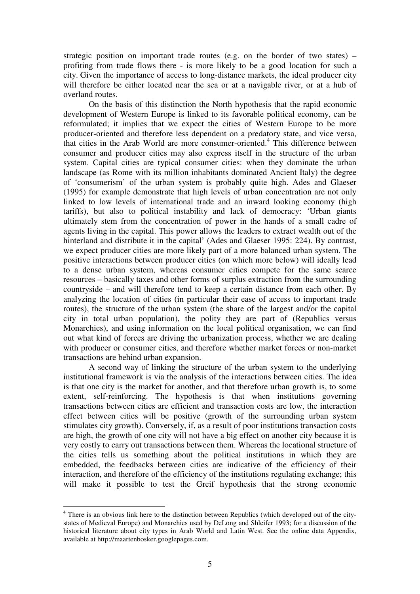strategic position on important trade routes (e.g. on the border of two states) – profiting from trade flows there - is more likely to be a good location for such a city. Given the importance of access to long-distance markets, the ideal producer city will therefore be either located near the sea or at a navigable river, or at a hub of overland routes.

On the basis of this distinction the North hypothesis that the rapid economic development of Western Europe is linked to its favorable political economy, can be reformulated; it implies that we expect the cities of Western Europe to be more producer-oriented and therefore less dependent on a predatory state, and vice versa, that cities in the Arab World are more consumer-oriented.<sup>4</sup> This difference between consumer and producer cities may also express itself in the structure of the urban system. Capital cities are typical consumer cities: when they dominate the urban landscape (as Rome with its million inhabitants dominated Ancient Italy) the degree of 'consumerism' of the urban system is probably quite high. Ades and Glaeser (1995) for example demonstrate that high levels of urban concentration are not only linked to low levels of international trade and an inward looking economy (high tariffs), but also to political instability and lack of democracy: 'Urban giants ultimately stem from the concentration of power in the hands of a small cadre of agents living in the capital. This power allows the leaders to extract wealth out of the hinterland and distribute it in the capital' (Ades and Glaeser 1995: 224). By contrast, we expect producer cities are more likely part of a more balanced urban system. The positive interactions between producer cities (on which more below) will ideally lead to a dense urban system, whereas consumer cities compete for the same scarce resources – basically taxes and other forms of surplus extraction from the surrounding countryside – and will therefore tend to keep a certain distance from each other. By analyzing the location of cities (in particular their ease of access to important trade routes), the structure of the urban system (the share of the largest and/or the capital city in total urban population), the polity they are part of (Republics versus Monarchies), and using information on the local political organisation, we can find out what kind of forces are driving the urbanization process, whether we are dealing with producer or consumer cities, and therefore whether market forces or non-market transactions are behind urban expansion.

 A second way of linking the structure of the urban system to the underlying institutional framework is via the analysis of the interactions between cities. The idea is that one city is the market for another, and that therefore urban growth is, to some extent, self-reinforcing. The hypothesis is that when institutions governing transactions between cities are efficient and transaction costs are low, the interaction effect between cities will be positive (growth of the surrounding urban system stimulates city growth). Conversely, if, as a result of poor institutions transaction costs are high, the growth of one city will not have a big effect on another city because it is very costly to carry out transactions between them. Whereas the locational structure of the cities tells us something about the political institutions in which they are embedded, the feedbacks between cities are indicative of the efficiency of their interaction, and therefore of the efficiency of the institutions regulating exchange; this will make it possible to test the Greif hypothesis that the strong economic

<sup>&</sup>lt;sup>4</sup> There is an obvious link here to the distinction between Republics (which developed out of the citystates of Medieval Europe) and Monarchies used by DeLong and Shleifer 1993; for a discussion of the historical literature about city types in Arab World and Latin West. See the online data Appendix, available at http://maartenbosker.googlepages.com.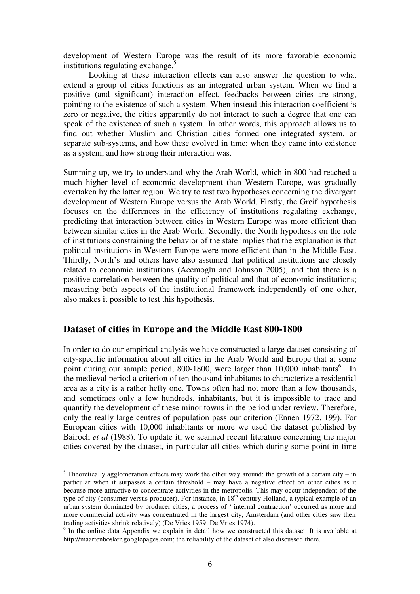development of Western Europe was the result of its more favorable economic institutions regulating exchange.<sup>5</sup>

Looking at these interaction effects can also answer the question to what extend a group of cities functions as an integrated urban system. When we find a positive (and significant) interaction effect, feedbacks between cities are strong, pointing to the existence of such a system. When instead this interaction coefficient is zero or negative, the cities apparently do not interact to such a degree that one can speak of the existence of such a system. In other words, this approach allows us to find out whether Muslim and Christian cities formed one integrated system, or separate sub-systems, and how these evolved in time: when they came into existence as a system, and how strong their interaction was.

Summing up, we try to understand why the Arab World, which in 800 had reached a much higher level of economic development than Western Europe, was gradually overtaken by the latter region. We try to test two hypotheses concerning the divergent development of Western Europe versus the Arab World. Firstly, the Greif hypothesis focuses on the differences in the efficiency of institutions regulating exchange, predicting that interaction between cities in Western Europe was more efficient than between similar cities in the Arab World. Secondly, the North hypothesis on the role of institutions constraining the behavior of the state implies that the explanation is that political institutions in Western Europe were more efficient than in the Middle East. Thirdly, North's and others have also assumed that political institutions are closely related to economic institutions (Acemoglu and Johnson 2005), and that there is a positive correlation between the quality of political and that of economic institutions; measuring both aspects of the institutional framework independently of one other, also makes it possible to test this hypothesis.

# **Dataset of cities in Europe and the Middle East 800-1800**

 $\overline{a}$ 

In order to do our empirical analysis we have constructed a large dataset consisting of city-specific information about all cities in the Arab World and Europe that at some point during our sample period, 800-1800, were larger than 10,000 inhabitants<sup>6</sup>. In the medieval period a criterion of ten thousand inhabitants to characterize a residential area as a city is a rather hefty one. Towns often had not more than a few thousands, and sometimes only a few hundreds, inhabitants, but it is impossible to trace and quantify the development of these minor towns in the period under review. Therefore, only the really large centres of population pass our criterion (Ennen 1972, 199). For European cities with 10,000 inhabitants or more we used the dataset published by Bairoch *et al* (1988). To update it, we scanned recent literature concerning the major cities covered by the dataset, in particular all cities which during some point in time

<sup>&</sup>lt;sup>5</sup> Theoretically agglomeration effects may work the other way around: the growth of a certain city – in particular when it surpasses a certain threshold – may have a negative effect on other cities as it because more attractive to concentrate activities in the metropolis. This may occur independent of the type of city (consumer versus producer). For instance, in 18<sup>th</sup> century Holland, a typical example of an urban system dominated by producer cities, a process of ' internal contraction' occurred as more and more commercial activity was concentrated in the largest city, Amsterdam (and other cities saw their trading activities shrink relatively) (De Vries 1959; De Vries 1974).

<sup>&</sup>lt;sup>6</sup> In the online data Appendix we explain in detail how we constructed this dataset. It is available at http://maartenbosker.googlepages.com; the reliability of the dataset of also discussed there.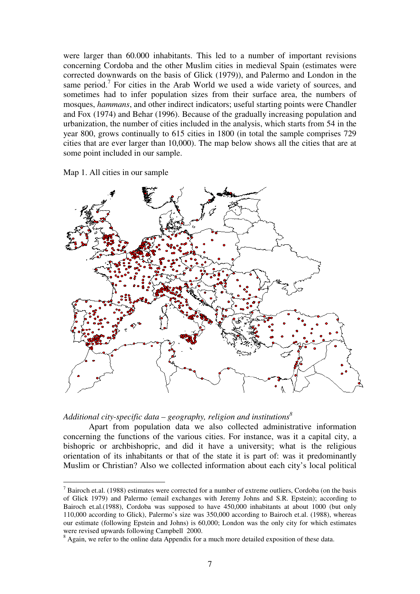were larger than 60.000 inhabitants. This led to a number of important revisions concerning Cordoba and the other Muslim cities in medieval Spain (estimates were corrected downwards on the basis of Glick (1979)), and Palermo and London in the same period.<sup>7</sup> For cities in the Arab World we used a wide variety of sources, and sometimes had to infer population sizes from their surface area, the numbers of mosques, *hammans*, and other indirect indicators; useful starting points were Chandler and Fox (1974) and Behar (1996). Because of the gradually increasing population and urbanization, the number of cities included in the analysis, which starts from 54 in the year 800, grows continually to 615 cities in 1800 (in total the sample comprises 729 cities that are ever larger than 10,000). The map below shows all the cities that are at some point included in our sample.

Map 1. All cities in our sample

 $\overline{a}$ 



*Additional city-specific data – geography, religion and institutions<sup>8</sup>*

Apart from population data we also collected administrative information concerning the functions of the various cities. For instance, was it a capital city, a bishopric or archbishopric, and did it have a university; what is the religious orientation of its inhabitants or that of the state it is part of: was it predominantly Muslim or Christian? Also we collected information about each city's local political

 $<sup>7</sup>$  Bairoch et.al. (1988) estimates were corrected for a number of extreme outliers, Cordoba (on the basis</sup> of Glick 1979) and Palermo (email exchanges with Jeremy Johns and S.R. Epstein); according to Bairoch et.al.(1988), Cordoba was supposed to have 450,000 inhabitants at about 1000 (but only 110,000 according to Glick), Palermo's size was 350,000 according to Bairoch et.al. (1988), whereas our estimate (following Epstein and Johns) is 60,000; London was the only city for which estimates were revised upwards following Campbell 2000.

<sup>&</sup>lt;sup>8</sup> Again, we refer to the online data Appendix for a much more detailed exposition of these data.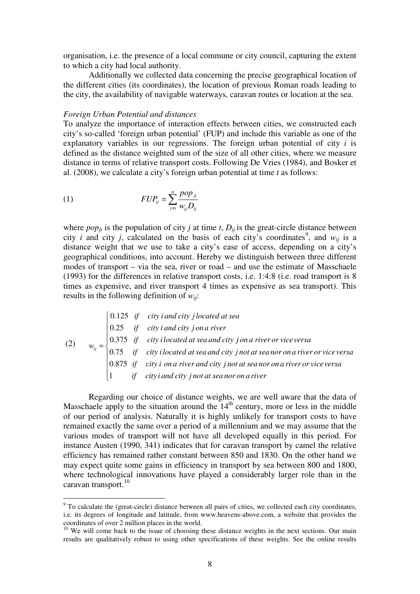organisation, i.e. the presence of a local commune or city council, capturing the extent to which a city had local authority.

Additionally we collected data concerning the precise geographical location of the different cities (its coordinates), the location of previous Roman roads leading to the city, the availability of navigable waterways, caravan routes or location at the sea.

### *Foreign Urban Potential and distances*

To analyze the importance of interaction effects between cities, we constructed each city's so-called 'foreign urban potential' (FUP) and include this variable as one of the explanatory variables in our regressions. The foreign urban potential of city *i* is defined as the distance weighted sum of the size of all other cities, where we measure distance in terms of relative transport costs. Following De Vries (1984), and Bosker et al. (2008), we calculate a city's foreign urban potential at time *t* as follows:

$$
(1) \t FUP_{it} = \sum_{j \neq i}^{n} \frac{pop_{jt}}{w_{ij}D_{ij}}
$$

 $\overline{a}$ 

where  $pop_{it}$  is the population of city *j* at time *t*,  $D_{it}$  is the great-circle distance between city *i* and city *j*, calculated on the basis of each city's coordinates<sup>9</sup>, and  $w_{ij}$  is a distance weight that we use to take a city's ease of access, depending on a city's geographical conditions, into account. Hereby we distinguish between three different modes of transport – via the sea, river or road – and use the estimate of Masschaele (1993) for the differences in relative transport costs, i.e. 1:4:8 (i.e. road transport is 8 times as expensive, and river transport 4 times as expensive as sea transport). This results in the following definition of *wij*:

(2) 
$$
w_{ij} = \begin{cases} 0.125 & \text{if } \text{city } i \text{ and } \text{city } j \text{ located at sea} \\ 0.25 & \text{if } \text{city } i \text{ and city } j \text{ on a river} \\ 0.375 & \text{if } \text{city } i \text{ located at sea and city } j \text{ on a river or vice versa} \\ 0.75 & \text{if } \text{city } i \text{ located at sea and city } j \text{ not at sea nor on a river or vice versa} \\ 1 & \text{if } \text{city } i \text{ and city } j \text{ not at sea nor on a river or vice versa} \end{cases}
$$

Regarding our choice of distance weights, we are well aware that the data of Masschaele apply to the situation around the  $14<sup>th</sup>$  century, more or less in the middle of our period of analysis. Naturally it is highly unlikely for transport costs to have remained exactly the same over a period of a millennium and we may assume that the various modes of transport will not have all developed equally in this period. For instance Austen (1990, 341) indicates that for caravan transport by camel the relative efficiency has remained rather constant between 850 and 1830. On the other hand we may expect quite some gains in efficiency in transport by sea between 800 and 1800, where technological innovations have played a considerably larger role than in the caravan transport.<sup>10</sup>

<sup>&</sup>lt;sup>9</sup> To calculate the (great-circle) distance between all pairs of cities, we collected each city coordinates, i.e. its degrees of longitude and latitude, from www.heavens-above.com, a website that provides the coordinates of over 2 million places in the world.

<sup>&</sup>lt;sup>10</sup> We will come back to the issue of choosing these distance weights in the next sections. Our main results are qualitatively robust to using other specifications of these weights. See the online results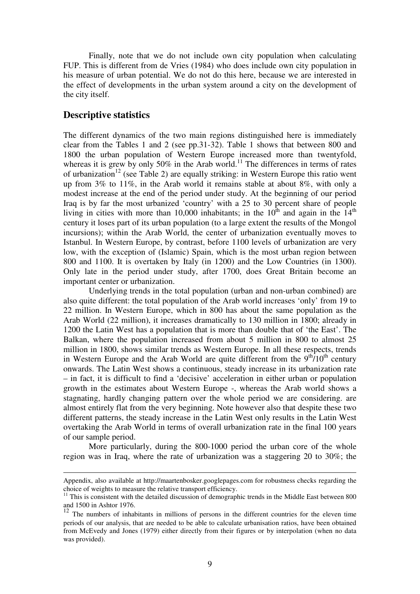Finally, note that we do not include own city population when calculating FUP. This is different from de Vries (1984) who does include own city population in his measure of urban potential. We do not do this here, because we are interested in the effect of developments in the urban system around a city on the development of the city itself.

## **Descriptive statistics**

<u>.</u>

The different dynamics of the two main regions distinguished here is immediately clear from the Tables 1 and 2 (see pp.31-32). Table 1 shows that between 800 and 1800 the urban population of Western Europe increased more than twentyfold, whereas it is grew by only 50% in the Arab world.<sup>11</sup> The differences in terms of rates of urbanization<sup>12</sup> (see Table 2) are equally striking: in Western Europe this ratio went up from 3% to 11%, in the Arab world it remains stable at about 8%, with only a modest increase at the end of the period under study. At the beginning of our period Iraq is by far the most urbanized 'country' with a 25 to 30 percent share of people living in cities with more than 10,000 inhabitants; in the  $10^{th}$  and again in the  $14^{th}$ century it loses part of its urban population (to a large extent the results of the Mongol incursions); within the Arab World, the center of urbanization eventually moves to Istanbul. In Western Europe, by contrast, before 1100 levels of urbanization are very low, with the exception of (Islamic) Spain, which is the most urban region between 800 and 1100. It is overtaken by Italy (in 1200) and the Low Countries (in 1300). Only late in the period under study, after 1700, does Great Britain become an important center or urbanization.

Underlying trends in the total population (urban and non-urban combined) are also quite different: the total population of the Arab world increases 'only' from 19 to 22 million. In Western Europe, which in 800 has about the same population as the Arab World (22 million), it increases dramatically to 130 million in 1800; already in 1200 the Latin West has a population that is more than double that of 'the East'. The Balkan, where the population increased from about 5 million in 800 to almost 25 million in 1800, shows similar trends as Western Europe. In all these respects, trends in Western Europe and the Arab World are quite different from the  $9<sup>th</sup>/10<sup>th</sup>$  century onwards. The Latin West shows a continuous, steady increase in its urbanization rate – in fact, it is difficult to find a 'decisive' acceleration in either urban or population growth in the estimates about Western Europe -, whereas the Arab world shows a stagnating, hardly changing pattern over the whole period we are considering. are almost entirely flat from the very beginning. Note however also that despite these two different patterns, the steady increase in the Latin West only results in the Latin West overtaking the Arab World in terms of overall urbanization rate in the final 100 years of our sample period.

More particularly, during the 800-1000 period the urban core of the whole region was in Iraq, where the rate of urbanization was a staggering 20 to 30%; the

Appendix, also available at http://maartenbosker.googlepages.com for robustness checks regarding the choice of weights to measure the relative transport efficiency.

 $11$  This is consistent with the detailed discussion of demographic trends in the Middle East between 800 and 1500 in Ashtor 1976.

 $12$  The numbers of inhabitants in millions of persons in the different countries for the eleven time periods of our analysis, that are needed to be able to calculate urbanisation ratios, have been obtained from McEvedy and Jones (1979) either directly from their figures or by interpolation (when no data was provided).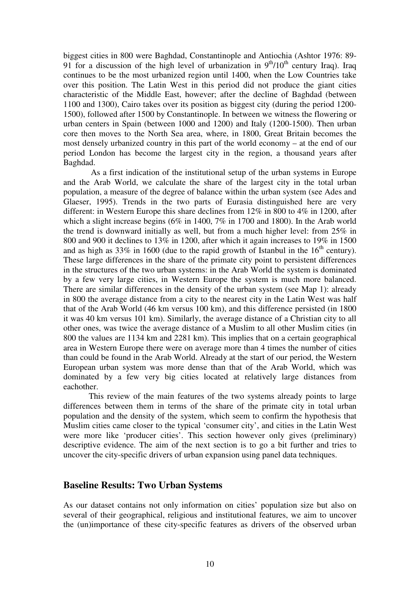biggest cities in 800 were Baghdad, Constantinople and Antiochia (Ashtor 1976: 89- 91 for a discussion of the high level of urbanization in  $9<sup>th</sup>/10<sup>th</sup>$  century Iraq). Iraq continues to be the most urbanized region until 1400, when the Low Countries take over this position. The Latin West in this period did not produce the giant cities characteristic of the Middle East, however; after the decline of Baghdad (between 1100 and 1300), Cairo takes over its position as biggest city (during the period 1200- 1500), followed after 1500 by Constantinople. In between we witness the flowering or urban centers in Spain (between 1000 and 1200) and Italy (1200-1500). Then urban core then moves to the North Sea area, where, in 1800, Great Britain becomes the most densely urbanized country in this part of the world economy – at the end of our period London has become the largest city in the region, a thousand years after Baghdad.

 As a first indication of the institutional setup of the urban systems in Europe and the Arab World, we calculate the share of the largest city in the total urban population, a measure of the degree of balance within the urban system (see Ades and Glaeser, 1995). Trends in the two parts of Eurasia distinguished here are very different: in Western Europe this share declines from 12% in 800 to 4% in 1200, after which a slight increase begins (6% in 1400, 7% in 1700 and 1800). In the Arab world the trend is downward initially as well, but from a much higher level: from 25% in 800 and 900 it declines to 13% in 1200, after which it again increases to 19% in 1500 and as high as 33% in 1600 (due to the rapid growth of Istanbul in the  $16<sup>th</sup>$  century). These large differences in the share of the primate city point to persistent differences in the structures of the two urban systems: in the Arab World the system is dominated by a few very large cities, in Western Europe the system is much more balanced. There are similar differences in the density of the urban system (see Map 1): already in 800 the average distance from a city to the nearest city in the Latin West was half that of the Arab World (46 km versus 100 km), and this difference persisted (in 1800 it was 40 km versus 101 km). Similarly, the average distance of a Christian city to all other ones, was twice the average distance of a Muslim to all other Muslim cities (in 800 the values are 1134 km and 2281 km). This implies that on a certain geographical area in Western Europe there were on average more than 4 times the number of cities than could be found in the Arab World. Already at the start of our period, the Western European urban system was more dense than that of the Arab World, which was dominated by a few very big cities located at relatively large distances from eachother.

 This review of the main features of the two systems already points to large differences between them in terms of the share of the primate city in total urban population and the density of the system, which seem to confirm the hypothesis that Muslim cities came closer to the typical 'consumer city', and cities in the Latin West were more like 'producer cities'. This section however only gives (preliminary) descriptive evidence. The aim of the next section is to go a bit further and tries to uncover the city-specific drivers of urban expansion using panel data techniques.

## **Baseline Results: Two Urban Systems**

As our dataset contains not only information on cities' population size but also on several of their geographical, religious and institutional features, we aim to uncover the (un)importance of these city-specific features as drivers of the observed urban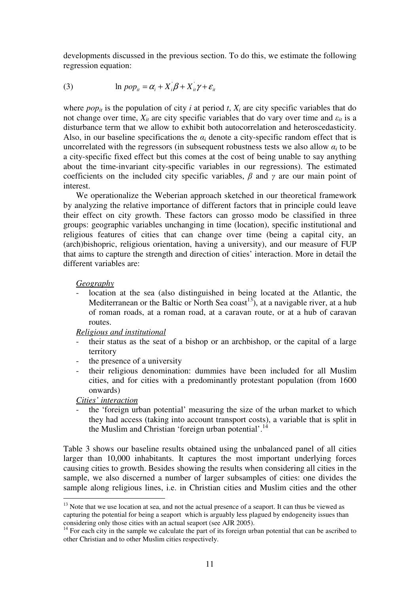developments discussed in the previous section. To do this, we estimate the following regression equation:

(3) 
$$
\ln pop_{it} = \alpha_i + X_i \beta + X_{it} \gamma + \varepsilon_{it}
$$

where  $pop_{it}$  is the population of city *i* at period *t*,  $X_i$  are city specific variables that do not change over time,  $X_{it}$  are city specific variables that do vary over time and  $\varepsilon_{it}$  is a disturbance term that we allow to exhibit both autocorrelation and heteroscedasticity. Also, in our baseline specifications the  $\alpha_i$  denote a city-specific random effect that is uncorrelated with the regressors (in subsequent robustness tests we also allow  $a_i$  to be a city-specific fixed effect but this comes at the cost of being unable to say anything about the time-invariant city-specific variables in our regressions). The estimated coefficients on the included city specific variables,  $\beta$  and  $\gamma$  are our main point of interest.

We operationalize the Weberian approach sketched in our theoretical framework by analyzing the relative importance of different factors that in principle could leave their effect on city growth. These factors can grosso modo be classified in three groups: geographic variables unchanging in time (location), specific institutional and religious features of cities that can change over time (being a capital city, an (arch)bishopric, religious orientation, having a university), and our measure of FUP that aims to capture the strength and direction of cities' interaction. More in detail the different variables are:

## *Geography*

- location at the sea (also distinguished in being located at the Atlantic, the Mediterranean or the Baltic or North Sea coast<sup>13</sup>), at a navigable river, at a hub of roman roads, at a roman road, at a caravan route, or at a hub of caravan routes.

*Religious and institutional*

- their status as the seat of a bishop or an archbishop, or the capital of a large territory
- the presence of a university
- their religious denomination: dummies have been included for all Muslim cities, and for cities with a predominantly protestant population (from 1600 onwards)

*Cities' interaction*

 $\overline{a}$ 

- the 'foreign urban potential' measuring the size of the urban market to which they had access (taking into account transport costs), a variable that is split in the Muslim and Christian 'foreign urban potential'.<sup>14</sup>

Table 3 shows our baseline results obtained using the unbalanced panel of all cities larger than 10,000 inhabitants. It captures the most important underlying forces causing cities to growth. Besides showing the results when considering all cities in the sample, we also discerned a number of larger subsamples of cities: one divides the sample along religious lines, i.e. in Christian cities and Muslim cities and the other

<sup>&</sup>lt;sup>13</sup> Note that we use location at sea, and not the actual presence of a seaport. It can thus be viewed as capturing the potential for being a seaport which is arguably less plagued by endogeneity issues than considering only those cities with an actual seaport (see AJR 2005).

<sup>&</sup>lt;sup>14</sup> For each city in the sample we calculate the part of its foreign urban potential that can be ascribed to other Christian and to other Muslim cities respectively.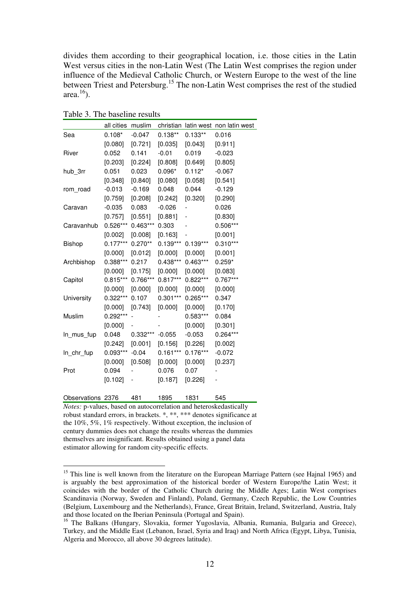divides them according to their geographical location, i.e. those cities in the Latin West versus cities in the non-Latin West (The Latin West comprises the region under influence of the Medieval Catholic Church, or Western Europe to the west of the line between Triest and Petersburg.<sup>15</sup> The non-Latin West comprises the rest of the studied area. $^{16}$ ).

Table 3. The baseline results

|                   | all cities | muslim     | christian  |            | latin west non latin west |
|-------------------|------------|------------|------------|------------|---------------------------|
| Sea               | $0.108*$   | $-0.047$   | $0.138**$  | $0.133**$  | 0.016                     |
|                   | [0.080]    | [0.721]    | [0.035]    | [0.043]    | [0.911]                   |
| River             | 0.052      | 0.141      | $-0.01$    | 0.019      | $-0.023$                  |
|                   | $[0.203]$  | [0.224]    | [0.808]    | [0.649]    | [0.805]                   |
| hub 3rr           | 0.051      | 0.023      | $0.096*$   | $0.112*$   | $-0.067$                  |
|                   | [0.348]    | [0.840]    | [0.080]    | [0.058]    | [0.541]                   |
| rom road          | $-0.013$   | $-0.169$   | 0.048      | 0.044      | $-0.129$                  |
|                   | [0.759]    | [0.208]    | [0.242]    | [0.320]    | [0.290]                   |
| Caravan           | $-0.035$   | 0.083      | $-0.026$   |            | 0.026                     |
|                   | [0.757]    | [0.551]    | [0.881]    | -          | [0.830]                   |
| Caravanhub        | $0.526***$ | $0.463***$ | 0.303      |            | $0.506***$                |
|                   | [0.002]    | [0.008]    | [0.163]    |            | [0.001]                   |
| Bishop            | $0.177***$ | $0.270**$  | $0.139***$ | $0.139***$ | $0.310***$                |
|                   | [0.000]    | [0.012]    | [0.000]    | [0.000]    | [0.001]                   |
| Archbishop        | $0.388***$ | 0.217      | $0.438***$ | $0.463***$ | $0.259*$                  |
|                   | [0.000]    | [0.175]    | [0.000]    | [0.000]    | [0.083]                   |
| Capitol           | $0.815***$ | 0.766***   | $0.817***$ | $0.822***$ | $0.767***$                |
|                   | [0.000]    | [0.000]    | [0.000]    | [0.000]    | [0.000]                   |
| University        | $0.322***$ | 0.107      | $0.301***$ | $0.265***$ | 0.347                     |
|                   | [0.000]    | [0.743]    | [0.000]    | [0.000]    | [0.170]                   |
| Muslim            | $0.292***$ |            |            | $0.583***$ | 0.084                     |
|                   | [0.000]    |            |            | [0.000]    | [0.301]                   |
| In_mus_fup        | 0.048      | $0.332***$ | $-0.055$   | $-0.053$   | $0.264***$                |
|                   | [0.242]    | [0.001]    | [0.156]    | [0.226]    | [0.002]                   |
| In_chr_fup        | $0.093***$ | $-0.04$    | $0.161***$ | $0.176***$ | $-0.072$                  |
|                   | [0.000]    | [0.508]    | [0.000]    | [0.000]    | [0.237]                   |
| Prot              | 0.094      |            | 0.076      | 0.07       |                           |
|                   | [0.102]    | -          | [0.187]    | [0.226]    |                           |
| Observations 2376 |            | 481        | 1895       | 1831       | 545                       |

*Notes:* p-values, based on autocorrelation and heteroskedastically robust standard errors, in brackets. \*, \*\*, \*\*\* denotes significance at the 10%, 5%, 1% respectively. Without exception, the inclusion of century dummies does not change the results whereas the dummies themselves are insignificant. Results obtained using a panel data estimator allowing for random city-specific effects.

<sup>&</sup>lt;sup>15</sup> This line is well known from the literature on the European Marriage Pattern (see Hajnal 1965) and is arguably the best approximation of the historical border of Western Europe/the Latin West; it coincides with the border of the Catholic Church during the Middle Ages; Latin West comprises Scandinavia (Norway, Sweden and Finland), Poland, Germany, Czech Republic, the Low Countries (Belgium, Luxembourg and the Netherlands), France, Great Britain, Ireland, Switzerland, Austria, Italy and those located on the Iberian Peninsula (Portugal and Spain).

<sup>&</sup>lt;sup>16</sup> The Balkans (Hungary, Slovakia, former Yugoslavia, Albania, Rumania, Bulgaria and Greece), Turkey, and the Middle East (Lebanon, Israel, Syria and Iraq) and North Africa (Egypt, Libya, Tunisia, Algeria and Morocco, all above 30 degrees latitude).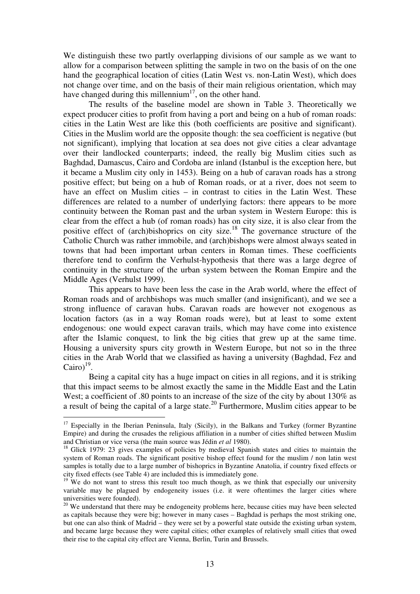We distinguish these two partly overlapping divisions of our sample as we want to allow for a comparison between splitting the sample in two on the basis of on the one hand the geographical location of cities (Latin West vs. non-Latin West), which does not change over time, and on the basis of their main religious orientation, which may have changed during this millennium<sup>17</sup>, on the other hand.

The results of the baseline model are shown in Table 3. Theoretically we expect producer cities to profit from having a port and being on a hub of roman roads: cities in the Latin West are like this (both coefficients are positive and significant). Cities in the Muslim world are the opposite though: the sea coefficient is negative (but not significant), implying that location at sea does not give cities a clear advantage over their landlocked counterparts; indeed, the really big Muslim cities such as Baghdad, Damascus, Cairo and Cordoba are inland (Istanbul is the exception here, but it became a Muslim city only in 1453). Being on a hub of caravan roads has a strong positive effect; but being on a hub of Roman roads, or at a river, does not seem to have an effect on Muslim cities – in contrast to cities in the Latin West. These differences are related to a number of underlying factors: there appears to be more continuity between the Roman past and the urban system in Western Europe: this is clear from the effect a hub (of roman roads) has on city size, it is also clear from the positive effect of (arch)bishoprics on city size.<sup>18</sup> The governance structure of the Catholic Church was rather immobile, and (arch)bishops were almost always seated in towns that had been important urban centers in Roman times. These coefficients therefore tend to confirm the Verhulst-hypothesis that there was a large degree of continuity in the structure of the urban system between the Roman Empire and the Middle Ages (Verhulst 1999).

This appears to have been less the case in the Arab world, where the effect of Roman roads and of archbishops was much smaller (and insignificant), and we see a strong influence of caravan hubs. Caravan roads are however not exogenous as location factors (as in a way Roman roads were), but at least to some extent endogenous: one would expect caravan trails, which may have come into existence after the Islamic conquest, to link the big cities that grew up at the same time. Housing a university spurs city growth in Western Europe, but not so in the three cities in the Arab World that we classified as having a university (Baghdad, Fez and Cairo) $19$ .

Being a capital city has a huge impact on cities in all regions, and it is striking that this impact seems to be almost exactly the same in the Middle East and the Latin West; a coefficient of .80 points to an increase of the size of the city by about 130% as a result of being the capital of a large state.<sup>20</sup> Furthermore, Muslim cities appear to be

 $17$  Especially in the Iberian Peninsula, Italy (Sicily), in the Balkans and Turkey (former Byzantine Empire) and during the crusades the religious affiliation in a number of cities shifted between Muslim and Christian or vice versa (the main source was Jédin *et al* 1980).

<sup>&</sup>lt;sup>18</sup> Glick 1979: 23 gives examples of policies by medieval Spanish states and cities to maintain the system of Roman roads. The significant positive bishop effect found for the muslim / non latin west samples is totally due to a large number of bishoprics in Byzantine Anatolia, if country fixed effects or city fixed effects (see Table 4) are included this is immediately gone.

 $19$  We do not want to stress this result too much though, as we think that especially our university variable may be plagued by endogeneity issues (i.e. it were oftentimes the larger cities where universities were founded).

 $20$  We understand that there may be endogeneity problems here, because cities may have been selected as capitals because they were big; however in many cases – Baghdad is perhaps the most striking one, but one can also think of Madrid – they were set by a powerful state outside the existing urban system, and became large because they were capital cities; other examples of relatively small cities that owed their rise to the capital city effect are Vienna, Berlin, Turin and Brussels.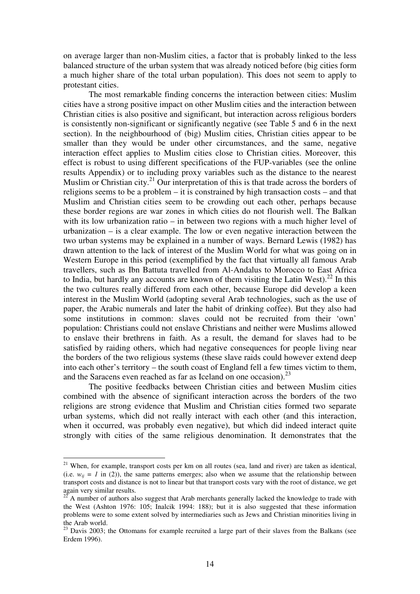on average larger than non-Muslim cities, a factor that is probably linked to the less balanced structure of the urban system that was already noticed before (big cities form a much higher share of the total urban population). This does not seem to apply to protestant cities.

The most remarkable finding concerns the interaction between cities: Muslim cities have a strong positive impact on other Muslim cities and the interaction between Christian cities is also positive and significant, but interaction across religious borders is consistently non-significant or significantly negative (see Table 5 and 6 in the next section). In the neighbourhood of (big) Muslim cities, Christian cities appear to be smaller than they would be under other circumstances, and the same, negative interaction effect applies to Muslim cities close to Christian cities. Moreover, this effect is robust to using different specifications of the FUP-variables (see the online results Appendix) or to including proxy variables such as the distance to the nearest Muslim or Christian city.<sup>21</sup> Our interpretation of this is that trade across the borders of religions seems to be a problem – it is constrained by high transaction costs – and that Muslim and Christian cities seem to be crowding out each other, perhaps because these border regions are war zones in which cities do not flourish well. The Balkan with its low urbanization ratio – in between two regions with a much higher level of urbanization – is a clear example. The low or even negative interaction between the two urban systems may be explained in a number of ways. Bernard Lewis (1982) has drawn attention to the lack of interest of the Muslim World for what was going on in Western Europe in this period (exemplified by the fact that virtually all famous Arab travellers, such as Ibn Battuta travelled from Al-Andalus to Morocco to East Africa to India, but hardly any accounts are known of them visiting the Latin West).<sup>22</sup> In this the two cultures really differed from each other, because Europe did develop a keen interest in the Muslim World (adopting several Arab technologies, such as the use of paper, the Arabic numerals and later the habit of drinking coffee). But they also had some institutions in common: slaves could not be recruited from their 'own' population: Christians could not enslave Christians and neither were Muslims allowed to enslave their brethrens in faith. As a result, the demand for slaves had to be satisfied by raiding others, which had negative consequences for people living near the borders of the two religious systems (these slave raids could however extend deep into each other's territory – the south coast of England fell a few times victim to them, and the Saracens even reached as far as Iceland on one occasion). $^{23}$ 

The positive feedbacks between Christian cities and between Muslim cities combined with the absence of significant interaction across the borders of the two religions are strong evidence that Muslim and Christian cities formed two separate urban systems, which did not really interact with each other (and this interaction, when it occurred, was probably even negative), but which did indeed interact quite strongly with cities of the same religious denomination. It demonstrates that the

<sup>&</sup>lt;sup>21</sup> When, for example, transport costs per km on all routes (sea, land and river) are taken as identical, (i.e.  $w_{ii} = 1$  in (2)), the same patterns emerges; also when we assume that the relationship between transport costs and distance is not to linear but that transport costs vary with the root of distance, we get again very similar results.

 $22^{\circ}$  A number of authors also suggest that Arab merchants generally lacked the knowledge to trade with the West (Ashton 1976: 105; Inalcik 1994: 188); but it is also suggested that these information problems were to some extent solved by intermediaries such as Jews and Christian minorities living in the Arab world.

<sup>&</sup>lt;sup>23</sup> Davis 2003; the Ottomans for example recruited a large part of their slaves from the Balkans (see Erdem 1996).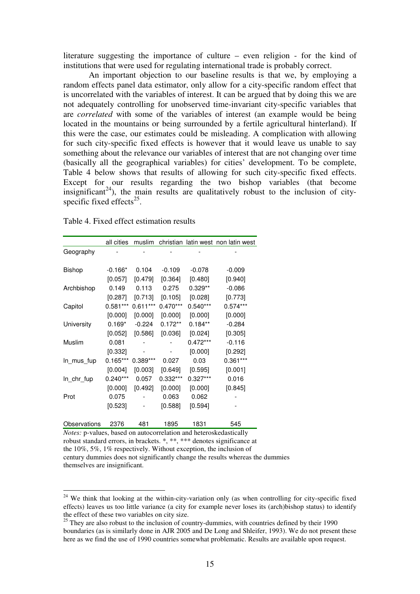literature suggesting the importance of culture – even religion - for the kind of institutions that were used for regulating international trade is probably correct.

 An important objection to our baseline results is that we, by employing a random effects panel data estimator, only allow for a city-specific random effect that is uncorrelated with the variables of interest. It can be argued that by doing this we are not adequately controlling for unobserved time-invariant city-specific variables that are *correlated* with some of the variables of interest (an example would be being located in the mountains or being surrounded by a fertile agricultural hinterland). If this were the case, our estimates could be misleading. A complication with allowing for such city-specific fixed effects is however that it would leave us unable to say something about the relevance our variables of interest that are not changing over time (basically all the geographical variables) for cities' development. To be complete, Table 4 below shows that results of allowing for such city-specific fixed effects. Except for our results regarding the two bishop variables (that become insignificant<sup>24</sup>), the main results are qualitatively robust to the inclusion of cityspecific fixed effects $^{25}$ .

Table 4. Fixed effect estimation results

|               | all cities |            |            |            | muslim christian latin west non latin west |
|---------------|------------|------------|------------|------------|--------------------------------------------|
| Geography     |            |            |            |            |                                            |
|               |            |            |            |            |                                            |
| <b>Bishop</b> | $-0.166*$  | 0.104      | $-0.109$   | $-0.078$   | $-0.009$                                   |
|               | [0.057]    | [0.479]    | [0.364]    | [0.480]    | [0.940]                                    |
| Archbishop    | 0.149      | 0.113      | 0.275      | $0.329**$  | $-0.086$                                   |
|               | $[0.287]$  | [0.713]    | [0.105]    | [0.028]    | [0.773]                                    |
| Capitol       | $0.581***$ | $0.611***$ | $0.470***$ | $0.540***$ | $0.574***$                                 |
|               | [0.000]    | [0.000]    | [0.000]    | [0.000]    | [0.000]                                    |
| University    | $0.169*$   | $-0.224$   | $0.172**$  | $0.184**$  | $-0.284$                                   |
|               | $[0.052]$  | [0.586]    | [0.036]    | [0.024]    | [0.305]                                    |
| Muslim        | 0.081      |            |            | $0.472***$ | $-0.116$                                   |
|               | [0.332]    |            |            | [0.000]    | [0.292]                                    |
| ln_mus_fup    | $0.165***$ | 0.389***   | 0.027      | 0.03       | $0.361***$                                 |
|               | [0.004]    | [0.003]    | [0.649]    | [0.595]    | [0.001]                                    |
| In_chr_fup    | $0.240***$ | 0.057      | $0.332***$ | $0.327***$ | 0.016                                      |
|               | [0.000]    | [0.492]    | [0.000]    | [0.000]    | [0.845]                                    |
| Prot          | 0.075      |            | 0.063      | 0.062      |                                            |
|               | [0.523]    |            | [0.588]    | [0.594]    |                                            |
|               |            |            |            |            |                                            |
| Observations  | 2376       | 481        | 1895       | 1831       | 545                                        |

*Notes:* p-values, based on autocorrelation and heteroskedastically robust standard errors, in brackets. \*, \*\*, \*\*\* denotes significance at the 10%, 5%, 1% respectively. Without exception, the inclusion of

 $\overline{a}$ 

century dummies does not significantly change the results whereas the dummies themselves are insignificant.

<sup>&</sup>lt;sup>24</sup> We think that looking at the within-city-variation only (as when controlling for city-specific fixed effects) leaves us too little variance (a city for example never loses its (arch)bishop status) to identify the effect of these two variables on city size.

 $25$  They are also robust to the inclusion of country-dummies, with countries defined by their 1990 boundaries (as is similarly done in AJR 2005 and De Long and Shleifer, 1993). We do not present these here as we find the use of 1990 countries somewhat problematic. Results are available upon request.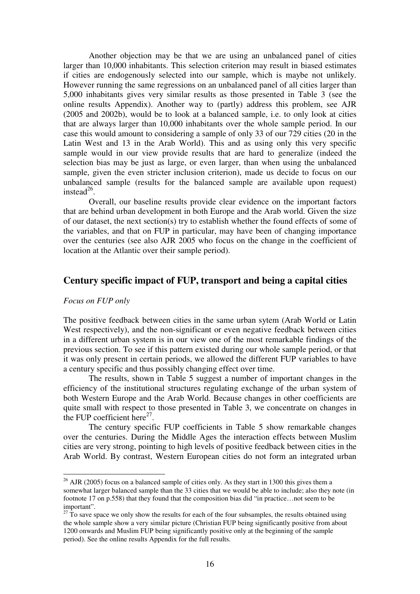Another objection may be that we are using an unbalanced panel of cities larger than 10,000 inhabitants. This selection criterion may result in biased estimates if cities are endogenously selected into our sample, which is maybe not unlikely. However running the same regressions on an unbalanced panel of all cities larger than 5,000 inhabitants gives very similar results as those presented in Table 3 (see the online results Appendix). Another way to (partly) address this problem, see AJR (2005 and 2002b), would be to look at a balanced sample, i.e. to only look at cities that are always larger than 10,000 inhabitants over the whole sample period. In our case this would amount to considering a sample of only 33 of our 729 cities (20 in the Latin West and 13 in the Arab World). This and as using only this very specific sample would in our view provide results that are hard to generalize (indeed the selection bias may be just as large, or even larger, than when using the unbalanced sample, given the even stricter inclusion criterion), made us decide to focus on our unbalanced sample (results for the balanced sample are available upon request) instead $^{26}$ .

Overall, our baseline results provide clear evidence on the important factors that are behind urban development in both Europe and the Arab world. Given the size of our dataset, the next section(s) try to establish whether the found effects of some of the variables, and that on FUP in particular, may have been of changing importance over the centuries (see also AJR 2005 who focus on the change in the coefficient of location at the Atlantic over their sample period).

## **Century specific impact of FUP, transport and being a capital cities**

## *Focus on FUP only*

 $\overline{a}$ 

The positive feedback between cities in the same urban sytem (Arab World or Latin West respectively), and the non-significant or even negative feedback between cities in a different urban system is in our view one of the most remarkable findings of the previous section. To see if this pattern existed during our whole sample period, or that it was only present in certain periods, we allowed the different FUP variables to have a century specific and thus possibly changing effect over time.

The results, shown in Table 5 suggest a number of important changes in the efficiency of the institutional structures regulating exchange of the urban system of both Western Europe and the Arab World. Because changes in other coefficients are quite small with respect to those presented in Table 3, we concentrate on changes in the FUP coefficient here $^{27}$ .

The century specific FUP coefficients in Table 5 show remarkable changes over the centuries. During the Middle Ages the interaction effects between Muslim cities are very strong, pointing to high levels of positive feedback between cities in the Arab World. By contrast, Western European cities do not form an integrated urban

 $^{26}$  AJR (2005) focus on a balanced sample of cities only. As they start in 1300 this gives them a somewhat larger balanced sample than the 33 cities that we would be able to include; also they note (in footnote 17 on p.558) that they found that the composition bias did "in practice…not seem to be important".

 $27$  To save space we only show the results for each of the four subsamples, the results obtained using the whole sample show a very similar picture (Christian FUP being significantly positive from about 1200 onwards and Muslim FUP being significantly positive only at the beginning of the sample period). See the online results Appendix for the full results.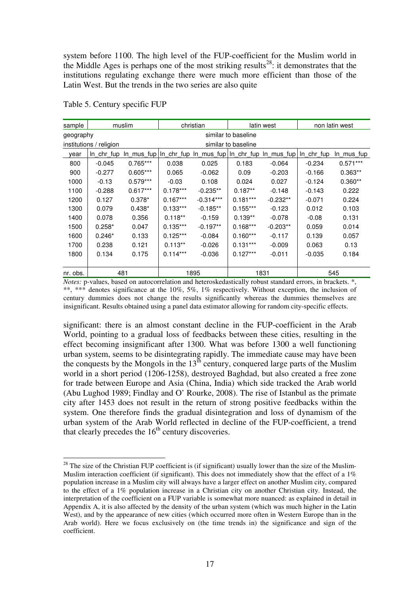system before 1100. The high level of the FUP-coefficient for the Muslim world in the Middle Ages is perhaps one of the most striking results<sup>28</sup>: it demonstrates that the institutions regulating exchange there were much more efficient than those of the Latin West. But the trends in the two series are also quite

| sample    |                         | muslim     |            | christian                                              |                     | latin west | non latin west |               |
|-----------|-------------------------|------------|------------|--------------------------------------------------------|---------------------|------------|----------------|---------------|
| geography |                         |            |            |                                                        | similar to baseline |            |                |               |
|           | institutions / religion |            |            |                                                        | similar to baseline |            |                |               |
| year      | In chr fup              |            |            | In mus fup In chr fup In mus fup In chr fup In mus fup |                     |            | In chr fup     | $ln$ _mus_fup |
| 800       | $-0.045$                | $0.765***$ | 0.038      | 0.025                                                  | 0.183               | $-0.064$   | $-0.234$       | $0.571***$    |
| 900       | $-0.277$                | $0.605***$ | 0.065      | $-0.062$                                               | 0.09                | $-0.203$   | $-0.166$       | $0.363**$     |
| 1000      | $-0.13$                 | $0.579***$ | $-0.03$    | 0.108                                                  | 0.024               | 0.027      | $-0.124$       | $0.360**$     |
| 1100      | $-0.288$                | $0.617***$ | $0.178***$ | $-0.235**$                                             | $0.187**$           | $-0.148$   | $-0.143$       | 0.222         |
| 1200      | 0.127                   | $0.378*$   | $0.167***$ | $-0.314***$                                            | $0.181***$          | $-0.232**$ | $-0.071$       | 0.224         |
| 1300      | 0.079                   | $0.438*$   | $0.133***$ | $-0.185**$                                             | $0.155***$          | $-0.123$   | 0.012          | 0.103         |
| 1400      | 0.078                   | 0.356      | $0.118**$  | $-0.159$                                               | $0.139**$           | $-0.078$   | $-0.08$        | 0.131         |
| 1500      | $0.258*$                | 0.047      | $0.135***$ | $-0.197**$                                             | $0.168***$          | $-0.203**$ | 0.059          | 0.014         |
| 1600      | $0.246*$                | 0.133      | $0.125***$ | $-0.084$                                               | $0.160***$          | $-0.117$   | 0.139          | 0.057         |
| 1700      | 0.238                   | 0.121      | $0.113**$  | $-0.026$                                               | $0.131***$          | $-0.009$   | 0.063          | 0.13          |
| 1800      | 0.134                   | 0.175      | $0.114***$ | $-0.036$                                               | $0.127***$          | $-0.011$   | $-0.035$       | 0.184         |
|           |                         |            |            |                                                        |                     |            |                |               |
| nr. obs.  |                         | 481        |            | 1895                                                   |                     | 1831       |                | 545           |

Table 5. Century specific FUP

 $\overline{a}$ 

*Notes:* p-values, based on autocorrelation and heteroskedastically robust standard errors, in brackets.  $*$ , \*\*, \*\*\* denotes significance at the 10%, 5%, 1% respectively. Without exception, the inclusion of century dummies does not change the results significantly whereas the dummies themselves are insignificant. Results obtained using a panel data estimator allowing for random city-specific effects.

significant: there is an almost constant decline in the FUP-coefficient in the Arab World, pointing to a gradual loss of feedbacks between these cities, resulting in the effect becoming insignificant after 1300. What was before 1300 a well functioning urban system, seems to be disintegrating rapidly. The immediate cause may have been the conquests by the Mongols in the  $13<sup>th</sup>$  century, conquered large parts of the Muslim world in a short period (1206-1258), destroyed Baghdad, but also created a free zone for trade between Europe and Asia (China, India) which side tracked the Arab world (Abu Lughod 1989; Findlay and O' Rourke, 2008). The rise of Istanbul as the primate city after 1453 does not result in the return of strong positive feedbacks within the system. One therefore finds the gradual disintegration and loss of dynamism of the urban system of the Arab World reflected in decline of the FUP-coefficient, a trend that clearly precedes the  $16<sup>th</sup>$  century discoveries.

 $28$  The size of the Christian FUP coefficient is (if significant) usually lower than the size of the Muslim-Muslim interaction coefficient (if significant). This does not immediately show that the effect of a 1% population increase in a Muslim city will always have a larger effect on another Muslim city, compared to the effect of a 1% population increase in a Christian city on another Christian city. Instead, the interpretation of the coefficient on a FUP variable is somewhat more nuanced: as explained in detail in Appendix A, it is also affected by the density of the urban system (which was much higher in the Latin West), and by the appearance of new cities (which occurred more often in Western Europe than in the Arab world). Here we focus exclusively on (the time trends in) the significance and sign of the coefficient.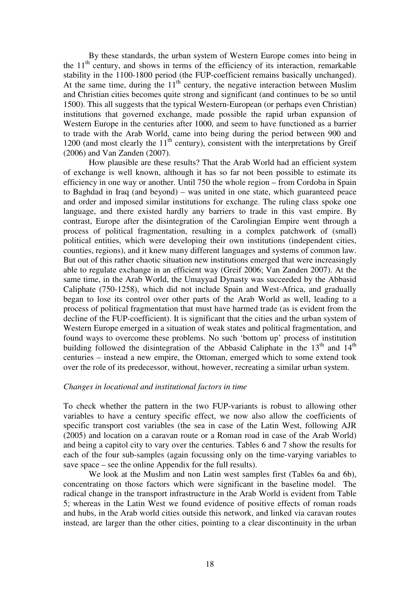By these standards, the urban system of Western Europe comes into being in the  $11<sup>th</sup>$  century, and shows in terms of the efficiency of its interaction, remarkable stability in the 1100-1800 period (the FUP-coefficient remains basically unchanged). At the same time, during the  $11<sup>th</sup>$  century, the negative interaction between Muslim and Christian cities becomes quite strong and significant (and continues to be so until 1500). This all suggests that the typical Western-European (or perhaps even Christian) institutions that governed exchange, made possible the rapid urban expansion of Western Europe in the centuries after 1000, and seem to have functioned as a barrier to trade with the Arab World, came into being during the period between 900 and 1200 (and most clearly the  $11<sup>th</sup>$  century), consistent with the interpretations by Greif (2006) and Van Zanden (2007).

 How plausible are these results? That the Arab World had an efficient system of exchange is well known, although it has so far not been possible to estimate its efficiency in one way or another. Until 750 the whole region – from Cordoba in Spain to Baghdad in Iraq (and beyond) – was united in one state, which guaranteed peace and order and imposed similar institutions for exchange. The ruling class spoke one language, and there existed hardly any barriers to trade in this vast empire. By contrast, Europe after the disintegration of the Carolingian Empire went through a process of political fragmentation, resulting in a complex patchwork of (small) political entities, which were developing their own institutions (independent cities, counties, regions), and it knew many different languages and systems of common law. But out of this rather chaotic situation new institutions emerged that were increasingly able to regulate exchange in an efficient way (Greif 2006; Van Zanden 2007). At the same time, in the Arab World, the Umayyad Dynasty was succeeded by the Abbasid Caliphate (750-1258), which did not include Spain and West-Africa, and gradually began to lose its control over other parts of the Arab World as well, leading to a process of political fragmentation that must have harmed trade (as is evident from the decline of the FUP-coefficient). It is significant that the cities and the urban system of Western Europe emerged in a situation of weak states and political fragmentation, and found ways to overcome these problems. No such 'bottom up' process of institution building followed the disintegration of the Abbasid Caliphate in the  $13<sup>th</sup>$  and  $14<sup>th</sup>$ centuries – instead a new empire, the Ottoman, emerged which to some extend took over the role of its predecessor, without, however, recreating a similar urban system.

### *Changes in locational and institutional factors in time*

To check whether the pattern in the two FUP-variants is robust to allowing other variables to have a century specific effect, we now also allow the coefficients of specific transport cost variables (the sea in case of the Latin West, following AJR (2005) and location on a caravan route or a Roman road in case of the Arab World) and being a capitol city to vary over the centuries. Tables 6 and 7 show the results for each of the four sub-samples (again focussing only on the time-varying variables to save space – see the online Appendix for the full results).

We look at the Muslim and non Latin west samples first (Tables 6a and 6b), concentrating on those factors which were significant in the baseline model. The radical change in the transport infrastructure in the Arab World is evident from Table 5; whereas in the Latin West we found evidence of positive effects of roman roads and hubs, in the Arab world cities outside this network, and linked via caravan routes instead, are larger than the other cities, pointing to a clear discontinuity in the urban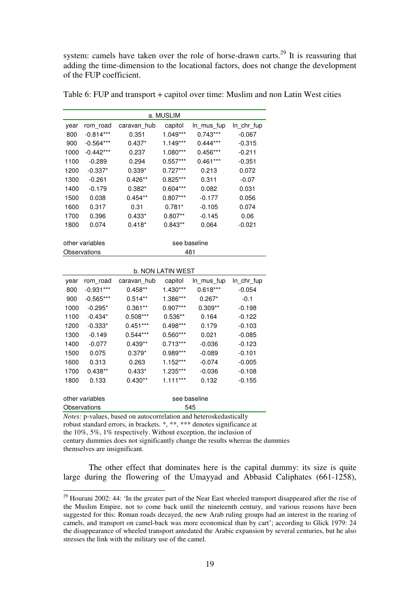system: camels have taken over the role of horse-drawn carts.<sup>29</sup> It is reassuring that adding the time-dimension to the locational factors, does not change the development of the FUP coefficient.

|      |                 |             | a. MUSLIM                |              |            |
|------|-----------------|-------------|--------------------------|--------------|------------|
| year | rom_road        | caravan_hub | capitol                  | In mus fup   | In_chr_fup |
| 800  | $-0.814***$     | 0.351       | 1.049***                 | $0.743***$   | $-0.067$   |
| 900  | $-0.564***$     | $0.437*$    | $1.149***$               | $0.444***$   | $-0.315$   |
| 1000 | $-0.442***$     | 0.237       | $1.080***$               | $0.456***$   | $-0.211$   |
| 1100 | $-0.289$        | 0.294       | $0.557***$               | $0.461***$   | $-0.351$   |
| 1200 | $-0.337*$       | $0.339*$    | $0.727***$               | 0.213        | 0.072      |
| 1300 | $-0.261$        | $0.426**$   | $0.825***$               | 0.311        | $-0.07$    |
| 1400 | $-0.179$        | $0.382*$    | $0.604***$               | 0.082        | 0.031      |
| 1500 | 0.038           | $0.454**$   | $0.807***$               | $-0.177$     | 0.056      |
| 1600 | 0.317           | 0.31        | $0.781*$                 | $-0.105$     | 0.074      |
| 1700 | 0.396           | $0.433*$    | $0.807**$                | $-0.145$     | 0.06       |
| 1800 | 0.074           | $0.418*$    | $0.843**$                | 0.064        | $-0.021$   |
|      | other variables |             |                          | see baseline |            |
|      | Observations    |             |                          | 481          |            |
|      |                 |             |                          |              |            |
|      |                 |             | <b>b. NON LATIN WEST</b> |              |            |
| year | rom road        | caravan_hub | capitol                  | In_mus_fup   | In_chr_fup |
| 800  | $-0.931***$     | $0.458**$   | $1.430***$               | $0.618***$   | $-0.054$   |
| 900  | $-0.565***$     | $0.514**$   | 1.386***                 | $0.267*$     | $-0.1$     |

Table 6: FUP and transport + capitol over time: Muslim and non Latin West cities

| b. NON LATIN WEST |                 |             |            |              |            |  |  |  |  |
|-------------------|-----------------|-------------|------------|--------------|------------|--|--|--|--|
| year              | rom road        | caravan hub | capitol    | In_mus_fup   | In_chr_fup |  |  |  |  |
| 800               | $-0.931***$     | $0.458**$   | $1.430***$ | $0.618***$   | $-0.054$   |  |  |  |  |
| 900               | $-0.565***$     | $0.514**$   | 1.386***   | $0.267*$     | $-0.1$     |  |  |  |  |
| 1000              | $-0.295*$       | $0.361**$   | $0.907***$ | $0.309**$    | $-0.198$   |  |  |  |  |
| 1100              | $-0.434*$       | $0.508***$  | $0.536**$  | 0.164        | $-0.122$   |  |  |  |  |
| 1200              | $-0.333*$       | $0.451***$  | $0.498***$ | 0.179        | $-0.103$   |  |  |  |  |
| 1300              | $-0.149$        | $0.544***$  | $0.560***$ | 0.021        | $-0.085$   |  |  |  |  |
| 1400              | $-0.077$        | $0.439**$   | $0.713***$ | $-0.036$     | $-0.123$   |  |  |  |  |
| 1500              | 0.075           | $0.379*$    | 0.989***   | $-0.089$     | $-0.101$   |  |  |  |  |
| 1600              | 0.313           | 0.263       | $1.152***$ | $-0.074$     | $-0.005$   |  |  |  |  |
| 1700              | $0.438**$       | $0.433*$    | 1.235***   | $-0.036$     | $-0.108$   |  |  |  |  |
| 1800              | 0.133           | $0.430**$   | $1.111***$ | 0.132        | $-0.155$   |  |  |  |  |
|                   |                 |             |            |              |            |  |  |  |  |
|                   | other variables |             |            | see baseline |            |  |  |  |  |
|                   | Observations    |             | 545        |              |            |  |  |  |  |

*Notes:* p-values, based on autocorrelation and heteroskedastically

robust standard errors, in brackets. \*, \*\*, \*\*\* denotes significance at

the 10%, 5%, 1% respectively. Without exception, the inclusion of

 $\overline{a}$ 

century dummies does not significantly change the results whereas the dummies themselves are insignificant.

The other effect that dominates here is the capital dummy: its size is quite large during the flowering of the Umayyad and Abbasid Caliphates (661-1258),

 $29$  Hourani 2002: 44: 'In the greater part of the Near East wheeled transport disappeared after the rise of the Muslim Empire, not to come back until the nineteenth century, and various reasons have been suggested for this: Roman roads decayed, the new Arab ruling groups had an interest in the rearing of camels, and transport on camel-back was more economical than by cart'; according to Glick 1979: 24 the disappearance of wheeled transport antedated the Arabic expansion by several centuries, but he also stresses the link with the military use of the camel.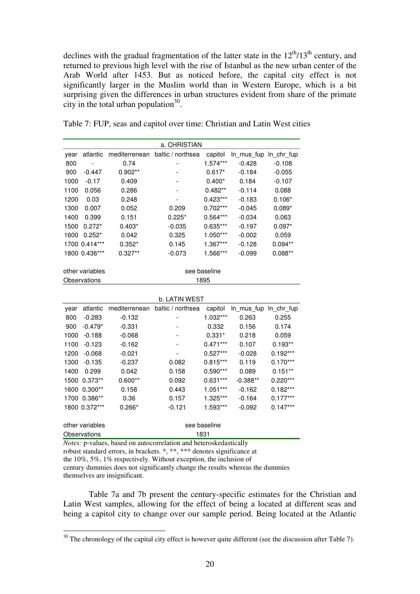declines with the gradual fragmentation of the latter state in the  $12<sup>th</sup>/13<sup>th</sup>$  century, and returned to previous high level with the rise of Istanbul as the new urban center of the Arab World after 1453. But as noticed before, the capital city effect is not significantly larger in the Muslim world than in Western Europe, which is a bit surprising given the differences in urban structures evident from share of the primate city in the total urban population $30$ .

| Table 7: FUP, seas and capitol over time: Christian and Latin West cities |  |
|---------------------------------------------------------------------------|--|
|---------------------------------------------------------------------------|--|

| a. CHRISTIAN |                 |               |                   |              |                       |            |  |  |  |
|--------------|-----------------|---------------|-------------------|--------------|-----------------------|------------|--|--|--|
| year         | atlantic        | mediterrenean | baltic / northsea | capitol      | In_mus_fup            | In_chr_fup |  |  |  |
| 800          |                 | 0.74          |                   | $1.574***$   | $-0.428$              | $-0.108$   |  |  |  |
| 900          | $-0.447$        | $0.902**$     |                   | $0.617*$     | $-0.184$              | $-0.055$   |  |  |  |
| 1000         | $-0.17$         | 0.409         |                   | $0.400*$     | 0.184                 | $-0.107$   |  |  |  |
| 1100         | 0.056           | 0.286         |                   | $0.482**$    | $-0.114$              | 0.088      |  |  |  |
| 1200         | 0.03            | 0.248         |                   | $0.423***$   | $-0.183$              | $0.106*$   |  |  |  |
| 1300         | 0.007           | 0.052         | 0.209             | $0.702***$   | $-0.045$              | $0.089*$   |  |  |  |
| 1400         | 0.399           | 0.151         | $0.225*$          | $0.564***$   | $-0.034$              | 0.063      |  |  |  |
| 1500         | $0.272*$        | $0.403*$      | $-0.035$          | $0.635***$   | $-0.197$              | $0.097*$   |  |  |  |
| 1600         | $0.252*$        | 0.042         | 0.325             | $1.050***$   | $-0.002$              | 0.059      |  |  |  |
|              | 1700 0.414***   | $0.352*$      | 0.145             | $1.367***$   | $-0.128$              | $0.094**$  |  |  |  |
|              | 1800 0.436***   | $0.327**$     | $-0.073$          | 1.566***     | $-0.099$              | $0.088**$  |  |  |  |
|              |                 |               |                   |              |                       |            |  |  |  |
|              | other variables |               |                   | see baseline |                       |            |  |  |  |
|              | Observations    |               |                   | 1895         |                       |            |  |  |  |
|              |                 |               |                   |              |                       |            |  |  |  |
|              |                 |               | b. LATIN WEST     |              |                       |            |  |  |  |
| year         | atlantic        | mediterrenean | baltic / northsea | capitol      | In_mus_fup In_chr_fup |            |  |  |  |
| 800          | $-0.283$        | $-0.132$      |                   | 1.032***     | 0.263                 | 0.255      |  |  |  |
| 900          | $-0.479*$       | $-0.331$      |                   | 0.332        | 0.156                 | 0.174      |  |  |  |
| 1000         | $-0.188$        | $-0.068$      |                   | $0.331*$     | 0.218                 | 0.059      |  |  |  |
| 1100         | $-0.123$        | $-0.162$      |                   | $0.471***$   | 0.107                 | $0.193**$  |  |  |  |
| 1200         | $-0.068$        | $-0.021$      |                   | $0.527***$   | $-0.028$              | $0.192***$ |  |  |  |
| 1300         | $-0.135$        | $-0.237$      | 0.082             | $0.815***$   | 0.119                 | $0.170***$ |  |  |  |
| 1400         | 0.299           | 0.042         | 0.158             | $0.590***$   | 0.089                 | $0.151**$  |  |  |  |
| 1500         | $0.373**$       | $0.600**$     | 0.092             | $0.631***$   | $-0.388**$            | $0.220***$ |  |  |  |
| 1600         | $0.300**$       | 0.158         | 0.443             | $1.051***$   | $-0.162$              | $0.182***$ |  |  |  |
| 1700         | $0.386**$       | 0.36          | 0.157             | 1.325***     | $-0.164$              | $0.177***$ |  |  |  |
|              | 1800 0.372***   | $0.266*$      | $-0.121$          | 1.593***     | $-0.092$              | $0.147***$ |  |  |  |

other variables see baseline Observations 1831

 $\overline{a}$ 

*Notes:* p-values, based on autocorrelation and heteroskedastically

robust standard errors, in brackets. \*, \*\*, \*\*\* denotes significance at

the 10%, 5%, 1% respectively. Without exception, the inclusion of

century dummies does not significantly change the results whereas the dummies themselves are insignificant.

Table 7a and 7b present the century-specific estimates for the Christian and Latin West samples, allowing for the effect of being a located at different seas and being a capitol city to change over our sample period. Being located at the Atlantic

 $30$  The chronology of the capital city effect is however quite different (see the discussion after Table 7).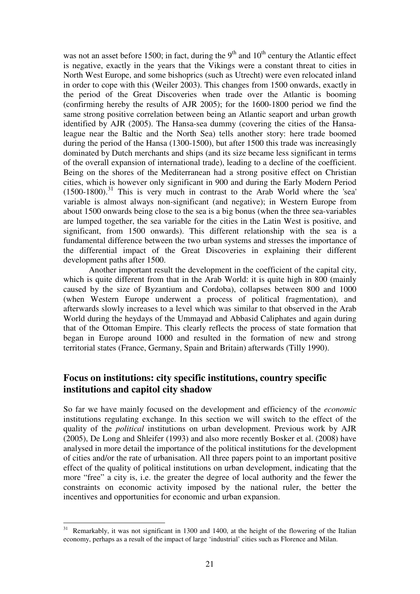was not an asset before 1500; in fact, during the  $9<sup>th</sup>$  and  $10<sup>th</sup>$  century the Atlantic effect is negative, exactly in the years that the Vikings were a constant threat to cities in North West Europe, and some bishoprics (such as Utrecht) were even relocated inland in order to cope with this (Weiler 2003). This changes from 1500 onwards, exactly in the period of the Great Discoveries when trade over the Atlantic is booming (confirming hereby the results of AJR 2005); for the 1600-1800 period we find the same strong positive correlation between being an Atlantic seaport and urban growth identified by AJR (2005). The Hansa-sea dummy (covering the cities of the Hansaleague near the Baltic and the North Sea) tells another story: here trade boomed during the period of the Hansa (1300-1500), but after 1500 this trade was increasingly dominated by Dutch merchants and ships (and its size became less significant in terms of the overall expansion of international trade), leading to a decline of the coefficient. Being on the shores of the Mediterranean had a strong positive effect on Christian cities, which is however only significant in 900 and during the Early Modern Period  $(1500-1800)$ <sup>31</sup>. This is very much in contrast to the Arab World where the 'sea' variable is almost always non-significant (and negative); in Western Europe from about 1500 onwards being close to the sea is a big bonus (when the three sea-variables are lumped together, the sea variable for the cities in the Latin West is positive, and significant, from 1500 onwards). This different relationship with the sea is a fundamental difference between the two urban systems and stresses the importance of the differential impact of the Great Discoveries in explaining their different development paths after 1500.

Another important result the development in the coefficient of the capital city, which is quite different from that in the Arab World: it is quite high in 800 (mainly caused by the size of Byzantium and Cordoba), collapses between 800 and 1000 (when Western Europe underwent a process of political fragmentation), and afterwards slowly increases to a level which was similar to that observed in the Arab World during the heydays of the Ummayad and Abbasid Caliphates and again during that of the Ottoman Empire. This clearly reflects the process of state formation that began in Europe around 1000 and resulted in the formation of new and strong territorial states (France, Germany, Spain and Britain) afterwards (Tilly 1990).

# **Focus on institutions: city specific institutions, country specific institutions and capitol city shadow**

So far we have mainly focused on the development and efficiency of the *economic*  institutions regulating exchange. In this section we will switch to the effect of the quality of the *political* institutions on urban development. Previous work by AJR (2005), De Long and Shleifer (1993) and also more recently Bosker et al. (2008) have analysed in more detail the importance of the political institutions for the development of cities and/or the rate of urbanisation. All three papers point to an important positive effect of the quality of political institutions on urban development, indicating that the more "free" a city is, i.e. the greater the degree of local authority and the fewer the constraints on economic activity imposed by the national ruler, the better the incentives and opportunities for economic and urban expansion.

<sup>&</sup>lt;sup>31</sup> Remarkably, it was not significant in 1300 and 1400, at the height of the flowering of the Italian economy, perhaps as a result of the impact of large 'industrial' cities such as Florence and Milan.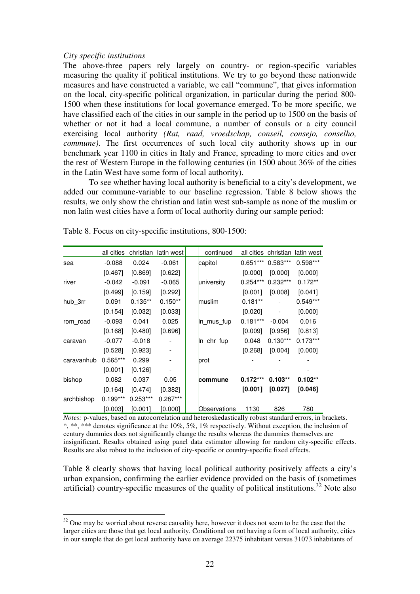### *City specific institutions*

 $\overline{a}$ 

The above-three papers rely largely on country- or region-specific variables measuring the quality if political institutions. We try to go beyond these nationwide measures and have constructed a variable, we call "commune", that gives information on the local, city-specific political organization, in particular during the period 800- 1500 when these institutions for local governance emerged. To be more specific, we have classified each of the cities in our sample in the period up to 1500 on the basis of whether or not it had a local commune, a number of consuls or a city council exercising local authority *(Rat, raad, vroedschap, conseil, consejo, conselho, commune*). The first occurrences of such local city authority shows up in our benchmark year 1100 in cities in Italy and France, spreading to more cities and over the rest of Western Europe in the following centuries (in 1500 about 36% of the cities in the Latin West have some form of local authority).

 To see whether having local authority is beneficial to a city's development, we added our commune-variable to our baseline regression. Table 8 below shows the results, we only show the christian and latin west sub-sample as none of the muslim or non latin west cities have a form of local authority during our sample period:

|            | all cities | christian  | latin west | continued    |            | all cities christian | latin west |
|------------|------------|------------|------------|--------------|------------|----------------------|------------|
| sea        | $-0.088$   | 0.024      | $-0.061$   | capitol      | $0.651***$ | $0.583***$           | $0.598***$ |
|            | [0.467]    | [0.869]    | [0.622]    |              | [0.000]    | [0.000]              | [0.000]    |
| river      | $-0.042$   | $-0.091$   | $-0.065$   | university   | $0.254***$ | $0.232***$           | $0.172**$  |
|            | $[0.499]$  | [0.159]    | [0.292]    |              | [0.001]    | [0.008]              | [0.041]    |
| hub_3rr    | 0.091      | $0.135**$  | $0.150**$  | muslim       | $0.181**$  |                      | $0.549***$ |
|            | [0.154]    | [0.032]    | [0.033]    |              | [0.020]    |                      | [0.000]    |
| rom road   | $-0.093$   | 0.041      | 0.025      | In mus fup   | $0.181***$ | $-0.004$             | 0.016      |
|            | [0.168]    | [0.480]    | [0.696]    |              | [0.009]    | [0.956]              | [0.813]    |
| caravan    | $-0.077$   | $-0.018$   |            | In_chr_fup   | 0.048      | $0.130***$           | $0.173***$ |
|            | [0.528]    | $[0.923]$  |            |              | [0.268]    | [0.004]              | [0.000]    |
| caravanhub | $0.565***$ | 0.299      |            | prot         |            |                      |            |
|            | [0.001]    | [0.126]    |            |              |            |                      |            |
| bishop     | 0.082      | 0.037      | 0.05       | commune      | $0.172***$ | $0.103**$            | $0.102**$  |
|            | [0.164]    | [0.474]    | [0.382]    |              | [0.001]    | [0.027]              | [0.046]    |
| archbishop | $0.199***$ | $0.253***$ | $0.287***$ |              |            |                      |            |
|            | [0.003]    | [0.001]    | [0.000]    | Observations | 1130       | 826                  | 780        |

Table 8. Focus on city-specific institutions, 800-1500:

*Notes:* p-values, based on autocorrelation and heteroskedastically robust standard errors, in brackets. \*, \*\*, \*\*\* denotes significance at the 10%, 5%, 1% respectively. Without exception, the inclusion of century dummies does not significantly change the results whereas the dummies themselves are insignificant. Results obtained using panel data estimator allowing for random city-specific effects. Results are also robust to the inclusion of city-specific or country-specific fixed effects.

Table 8 clearly shows that having local political authority positively affects a city's urban expansion, confirming the earlier evidence provided on the basis of (sometimes artificial) country-specific measures of the quality of political institutions.<sup>32</sup> Note also

 $32$  One may be worried about reverse causality here, however it does not seem to be the case that the larger cities are those that get local authority. Conditional on not having a form of local authority, cities in our sample that do get local authority have on average 22375 inhabitant versus 31073 inhabitants of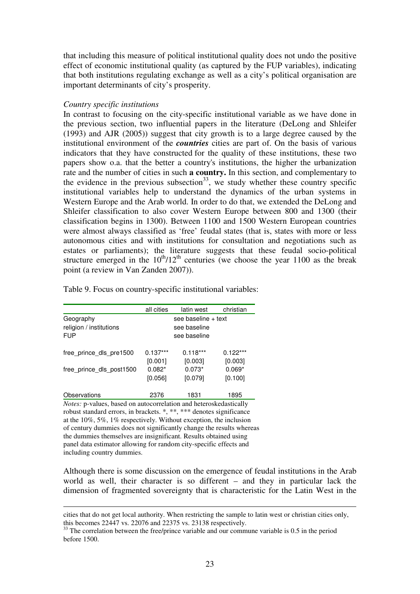that including this measure of political institutional quality does not undo the positive effect of economic institutional quality (as captured by the FUP variables), indicating that both institutions regulating exchange as well as a city's political organisation are important determinants of city's prosperity.

### *Country specific institutions*

In contrast to focusing on the city-specific institutional variable as we have done in the previous section, two influential papers in the literature (DeLong and Shleifer (1993) and AJR (2005)) suggest that city growth is to a large degree caused by the institutional environment of the *countries* cities are part of. On the basis of various indicators that they have constructed for the quality of these institutions, these two papers show o.a. that the better a country's institutions, the higher the urbanization rate and the number of cities in such **a country.** In this section, and complementary to the evidence in the previous subsection<sup>33</sup>, we study whether these country specific institutional variables help to understand the dynamics of the urban systems in Western Europe and the Arab world. In order to do that, we extended the DeLong and Shleifer classification to also cover Western Europe between 800 and 1300 (their classification begins in 1300). Between 1100 and 1500 Western European countries were almost always classified as 'free' feudal states (that is, states with more or less autonomous cities and with institutions for consultation and negotiations such as estates or parliaments); the literature suggests that these feudal socio-political structure emerged in the  $10^{th}/12^{th}$  centuries (we choose the year 1100 as the break point (a review in Van Zanden 2007)).

|                          | all cities | latin west          | christian  |
|--------------------------|------------|---------------------|------------|
| Geography                |            | see baseline + text |            |
| religion / institutions  |            | see baseline        |            |
| <b>FUP</b>               |            | see baseline        |            |
| free prince dls pre1500  | $0.137***$ | $0.118***$          | $0.122***$ |
|                          | [0.001]    | [0.003]             | [0.003]    |
| free prince dls post1500 | $0.082*$   | $0.073*$            | $0.069*$   |
|                          | [0.056]    | [0.079]             | [0.100]    |
| Observations             | 2376       | 1831                | 1895       |

Table 9. Focus on country-specific institutional variables:

*Notes:* p-values, based on autocorrelation and heteroskedastically robust standard errors, in brackets. \*, \*\*, \*\*\* denotes significance at the 10%, 5%, 1% respectively. Without exception, the inclusion of century dummies does not significantly change the results whereas the dummies themselves are insignificant. Results obtained using panel data estimator allowing for random city-specific effects and including country dummies.

<u>.</u>

Although there is some discussion on the emergence of feudal institutions in the Arab world as well, their character is so different – and they in particular lack the dimension of fragmented sovereignty that is characteristic for the Latin West in the

cities that do not get local authority. When restricting the sample to latin west or christian cities only, this becomes 22447 vs. 22076 and 22375 vs. 23138 respectively.

 $33$ <sup>33</sup> The correlation between the free/prince variable and our commune variable is 0.5 in the period before 1500.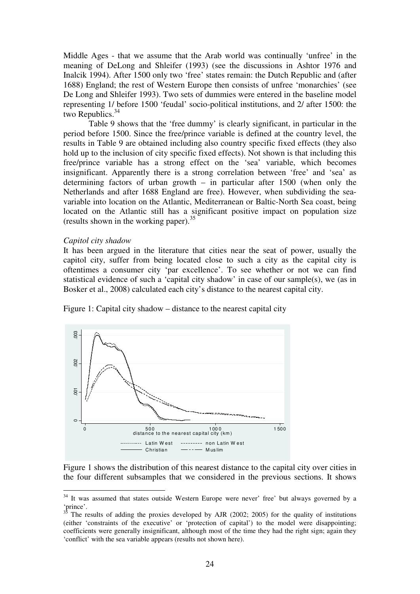Middle Ages - that we assume that the Arab world was continually 'unfree' in the meaning of DeLong and Shleifer (1993) (see the discussions in Ashtor 1976 and Inalcik 1994). After 1500 only two 'free' states remain: the Dutch Republic and (after 1688) England; the rest of Western Europe then consists of unfree 'monarchies' (see De Long and Shleifer 1993). Two sets of dummies were entered in the baseline model representing 1/ before 1500 'feudal' socio-political institutions, and 2/ after 1500: the two Republics. $34$ 

Table 9 shows that the 'free dummy' is clearly significant, in particular in the period before 1500. Since the free/prince variable is defined at the country level, the results in Table 9 are obtained including also country specific fixed effects (they also hold up to the inclusion of city specific fixed effects). Not shown is that including this free/prince variable has a strong effect on the 'sea' variable, which becomes insignificant. Apparently there is a strong correlation between 'free' and 'sea' as determining factors of urban growth – in particular after 1500 (when only the Netherlands and after 1688 England are free). However, when subdividing the seavariable into location on the Atlantic, Mediterranean or Baltic-North Sea coast, being located on the Atlantic still has a significant positive impact on population size (results shown in the working paper).<sup>35</sup>

#### *Capitol city shadow*

 $\overline{a}$ 

It has been argued in the literature that cities near the seat of power, usually the capitol city, suffer from being located close to such a city as the capital city is oftentimes a consumer city 'par excellence'. To see whether or not we can find statistical evidence of such a 'capital city shadow' in case of our sample(s), we (as in Bosker et al., 2008) calculated each city's distance to the nearest capital city.



Figure 1: Capital city shadow – distance to the nearest capital city

Figure 1 shows the distribution of this nearest distance to the capital city over cities in the four different subsamples that we considered in the previous sections. It shows

<sup>&</sup>lt;sup>34</sup> It was assumed that states outside Western Europe were never' free' but always governed by a 'prince'.

<sup>35</sup> The results of adding the proxies developed by AJR (2002; 2005) for the quality of institutions (either 'constraints of the executive' or 'protection of capital') to the model were disappointing; coefficients were generally insignificant, although most of the time they had the right sign; again they 'conflict' with the sea variable appears (results not shown here).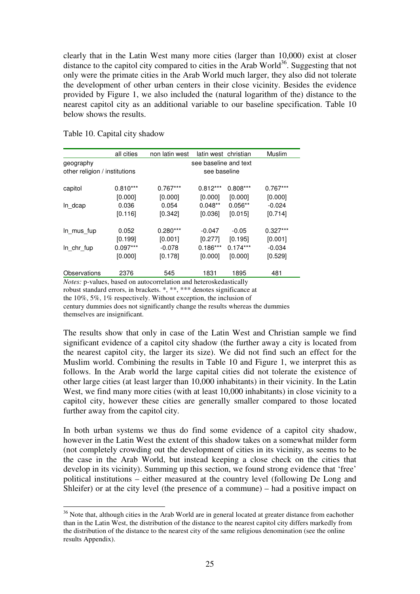clearly that in the Latin West many more cities (larger than 10,000) exist at closer distance to the capitol city compared to cities in the Arab World<sup>36</sup>. Suggesting that not only were the primate cities in the Arab World much larger, they also did not tolerate the development of other urban centers in their close vicinity. Besides the evidence provided by Figure 1, we also included the (natural logarithm of the) distance to the nearest capitol city as an additional variable to our baseline specification. Table 10 below shows the results.

|                               | all cities | non latin west | latin west christian  |            | Muslim     |  |  |  |  |  |
|-------------------------------|------------|----------------|-----------------------|------------|------------|--|--|--|--|--|
| geography                     |            |                | see baseline and text |            |            |  |  |  |  |  |
| other religion / institutions |            |                | see baseline          |            |            |  |  |  |  |  |
| capitol                       | $0.810***$ | $0.767***$     | $0.812***$            | $0.808***$ | $0.767***$ |  |  |  |  |  |
|                               | [0.000]    | [0.000]        | [0.000]               | [0.000]    | [0.000]    |  |  |  |  |  |
| $ln_dcap$                     | 0.036      | 0.054          | $0.048**$             | $0.056**$  | $-0.024$   |  |  |  |  |  |
|                               | [0.116]    | [0.342]        | [0.036]               | [0.015]    | [0.714]    |  |  |  |  |  |
| In mus fup                    | 0.052      | $0.280***$     | $-0.047$              | $-0.05$    | $0.327***$ |  |  |  |  |  |
|                               | [0.199]    | [0.001]        | [0.277]               | [0.195]    | [0.001]    |  |  |  |  |  |
| In chr fup                    | $0.097***$ | $-0.078$       | $0.186***$            | $0.174***$ | $-0.034$   |  |  |  |  |  |
|                               | [0.000]    | [0.178]        | [0.000]               | [0.000]    | [0.529]    |  |  |  |  |  |
| Observations                  | 2376       | 545            | 1831                  | 1895       | 481        |  |  |  |  |  |

Table 10. Capital city shadow

 $\overline{a}$ 

*Notes:* p-values, based on autocorrelation and heteroskedastically robust standard errors, in brackets. \*, \*\*, \*\*\* denotes significance at

the 10%, 5%, 1% respectively. Without exception, the inclusion of

century dummies does not significantly change the results whereas the dummies themselves are insignificant.

The results show that only in case of the Latin West and Christian sample we find significant evidence of a capitol city shadow (the further away a city is located from the nearest capitol city, the larger its size). We did not find such an effect for the Muslim world. Combining the results in Table 10 and Figure 1, we interpret this as follows. In the Arab world the large capital cities did not tolerate the existence of other large cities (at least larger than 10,000 inhabitants) in their vicinity. In the Latin West, we find many more cities (with at least 10,000 inhabitants) in close vicinity to a capitol city, however these cities are generally smaller compared to those located further away from the capitol city.

In both urban systems we thus do find some evidence of a capitol city shadow, however in the Latin West the extent of this shadow takes on a somewhat milder form (not completely crowding out the development of cities in its vicinity, as seems to be the case in the Arab World, but instead keeping a close check on the cities that develop in its vicinity). Summing up this section, we found strong evidence that 'free' political institutions – either measured at the country level (following De Long and Shleifer) or at the city level (the presence of a commune) – had a positive impact on

 $36$  Note that, although cities in the Arab World are in general located at greater distance from eachother than in the Latin West, the distribution of the distance to the nearest capitol city differs markedly from the distribution of the distance to the nearest city of the same religious denomination (see the online results Appendix).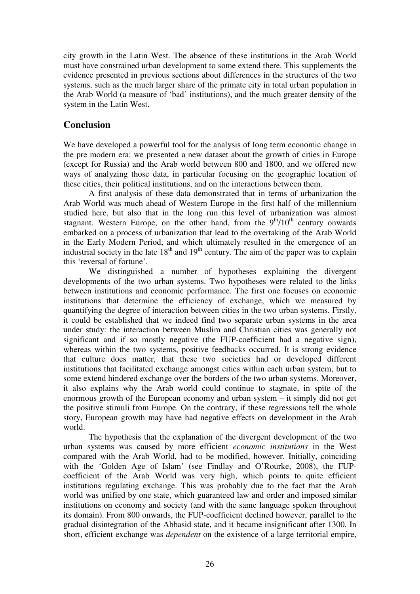city growth in the Latin West. The absence of these institutions in the Arab World must have constrained urban development to some extend there. This supplements the evidence presented in previous sections about differences in the structures of the two systems, such as the much larger share of the primate city in total urban population in the Arab World (a measure of 'bad' institutions), and the much greater density of the system in the Latin West.

# **Conclusion**

We have developed a powerful tool for the analysis of long term economic change in the pre modern era: we presented a new dataset about the growth of cities in Europe (except for Russia) and the Arab world between 800 and 1800, and we offered new ways of analyzing those data, in particular focusing on the geographic location of these cities, their political institutions, and on the interactions between them.

A first analysis of these data demonstrated that in terms of urbanization the Arab World was much ahead of Western Europe in the first half of the millennium studied here, but also that in the long run this level of urbanization was almost stagnant. Western Europe, on the other hand, from the  $9<sup>th</sup>/10<sup>th</sup>$  century onwards embarked on a process of urbanization that lead to the overtaking of the Arab World in the Early Modern Period, and which ultimately resulted in the emergence of an industrial society in the late  $18<sup>th</sup>$  and  $19<sup>th</sup>$  century. The aim of the paper was to explain this 'reversal of fortune'.

We distinguished a number of hypotheses explaining the divergent developments of the two urban systems. Two hypotheses were related to the links between institutions and economic performance. The first one focuses on economic institutions that determine the efficiency of exchange, which we measured by quantifying the degree of interaction between cities in the two urban systems. Firstly, it could be established that we indeed find two separate urban systems in the area under study: the interaction between Muslim and Christian cities was generally not significant and if so mostly negative (the FUP-coefficient had a negative sign), whereas within the two systems, positive feedbacks occurred. It is strong evidence that culture does matter, that these two societies had or developed different institutions that facilitated exchange amongst cities within each urban system, but to some extend hindered exchange over the borders of the two urban systems. Moreover, it also explains why the Arab world could continue to stagnate, in spite of the enormous growth of the European economy and urban system – it simply did not get the positive stimuli from Europe. On the contrary, if these regressions tell the whole story, European growth may have had negative effects on development in the Arab world.

The hypothesis that the explanation of the divergent development of the two urban systems was caused by more efficient *economic institutions* in the West compared with the Arab World, had to be modified, however. Initially, coinciding with the 'Golden Age of Islam' (see Findlay and O'Rourke, 2008), the FUPcoefficient of the Arab World was very high, which points to quite efficient institutions regulating exchange. This was probably due to the fact that the Arab world was unified by one state, which guaranteed law and order and imposed similar institutions on economy and society (and with the same language spoken throughout its domain). From 800 onwards, the FUP-coefficient declined however, parallel to the gradual disintegration of the Abbasid state, and it became insignificant after 1300. In short, efficient exchange was *dependent* on the existence of a large territorial empire,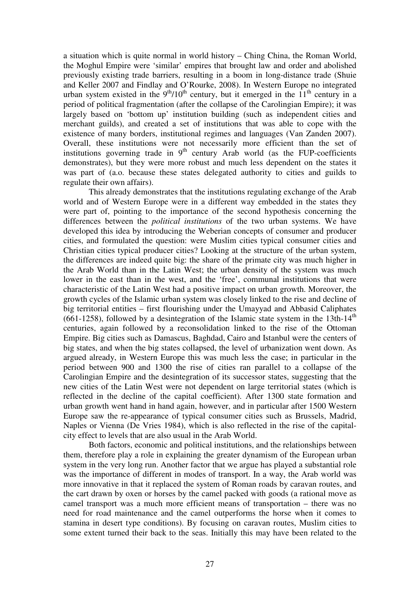a situation which is quite normal in world history – Ching China, the Roman World, the Moghul Empire were 'similar' empires that brought law and order and abolished previously existing trade barriers, resulting in a boom in long-distance trade (Shuie and Keller 2007 and Findlay and O'Rourke, 2008). In Western Europe no integrated urban system existed in the  $9<sup>th</sup>/10<sup>th</sup>$  century, but it emerged in the  $11<sup>th</sup>$  century in a period of political fragmentation (after the collapse of the Carolingian Empire); it was largely based on 'bottom up' institution building (such as independent cities and merchant guilds), and created a set of institutions that was able to cope with the existence of many borders, institutional regimes and languages (Van Zanden 2007). Overall, these institutions were not necessarily more efficient than the set of institutions governing trade in  $9<sup>th</sup>$  century Arab world (as the FUP-coefficients demonstrates), but they were more robust and much less dependent on the states it was part of (a.o. because these states delegated authority to cities and guilds to regulate their own affairs).

This already demonstrates that the institutions regulating exchange of the Arab world and of Western Europe were in a different way embedded in the states they were part of, pointing to the importance of the second hypothesis concerning the differences between the *political institutions* of the two urban systems. We have developed this idea by introducing the Weberian concepts of consumer and producer cities, and formulated the question: were Muslim cities typical consumer cities and Christian cities typical producer cities? Looking at the structure of the urban system, the differences are indeed quite big: the share of the primate city was much higher in the Arab World than in the Latin West; the urban density of the system was much lower in the east than in the west, and the 'free', communal institutions that were characteristic of the Latin West had a positive impact on urban growth. Moreover, the growth cycles of the Islamic urban system was closely linked to the rise and decline of big territorial entities – first flourishing under the Umayyad and Abbasid Caliphates (661-1258), followed by a desintegration of the Islamic state system in the 13th-14<sup>th</sup> centuries, again followed by a reconsolidation linked to the rise of the Ottoman Empire. Big cities such as Damascus, Baghdad, Cairo and Istanbul were the centers of big states, and when the big states collapsed, the level of urbanization went down. As argued already, in Western Europe this was much less the case; in particular in the period between 900 and 1300 the rise of cities ran parallel to a collapse of the Carolingian Empire and the desintegration of its successor states, suggesting that the new cities of the Latin West were not dependent on large territorial states (which is reflected in the decline of the capital coefficient). After 1300 state formation and urban growth went hand in hand again, however, and in particular after 1500 Western Europe saw the re-appearance of typical consumer cities such as Brussels, Madrid, Naples or Vienna (De Vries 1984), which is also reflected in the rise of the capitalcity effect to levels that are also usual in the Arab World.

Both factors, economic and political institutions, and the relationships between them, therefore play a role in explaining the greater dynamism of the European urban system in the very long run. Another factor that we argue has played a substantial role was the importance of different in modes of transport. In a way, the Arab world was more innovative in that it replaced the system of Roman roads by caravan routes, and the cart drawn by oxen or horses by the camel packed with goods (a rational move as camel transport was a much more efficient means of transportation – there was no need for road maintenance and the camel outperforms the horse when it comes to stamina in desert type conditions). By focusing on caravan routes, Muslim cities to some extent turned their back to the seas. Initially this may have been related to the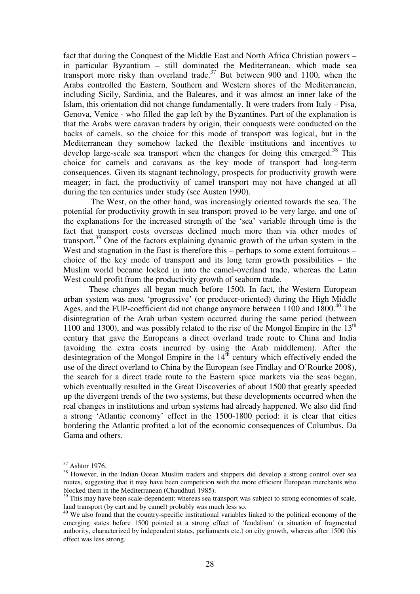fact that during the Conquest of the Middle East and North Africa Christian powers – in particular Byzantium – still dominated the Mediterranean, which made sea transport more risky than overland trade.<sup>37</sup> But between 900 and 1100, when the Arabs controlled the Eastern, Southern and Western shores of the Mediterranean, including Sicily, Sardinia, and the Baleares, and it was almost an inner lake of the Islam, this orientation did not change fundamentally. It were traders from Italy – Pisa, Genova, Venice - who filled the gap left by the Byzantines. Part of the explanation is that the Arabs were caravan traders by origin, their conquests were conducted on the backs of camels, so the choice for this mode of transport was logical, but in the Mediterranean they somehow lacked the flexible institutions and incentives to develop large-scale sea transport when the changes for doing this emerged.<sup>38</sup> This choice for camels and caravans as the key mode of transport had long-term consequences. Given its stagnant technology, prospects for productivity growth were meager; in fact, the productivity of camel transport may not have changed at all during the ten centuries under study (see Austen 1990).

 The West, on the other hand, was increasingly oriented towards the sea. The potential for productivity growth in sea transport proved to be very large, and one of the explanations for the increased strength of the 'sea' variable through time is the fact that transport costs overseas declined much more than via other modes of transport.<sup>39</sup> One of the factors explaining dynamic growth of the urban system in the West and stagnation in the East is therefore this – perhaps to some extent fortuitous – choice of the key mode of transport and its long term growth possibilities – the Muslim world became locked in into the camel-overland trade, whereas the Latin West could profit from the productivity growth of seaborn trade.

 These changes all began much before 1500. In fact, the Western European urban system was most 'progressive' (or producer-oriented) during the High Middle Ages, and the FUP-coefficient did not change anymore between 1100 and 1800.<sup>40</sup> The disintegration of the Arab urban system occurred during the same period (between 1100 and 1300), and was possibly related to the rise of the Mongol Empire in the  $13<sup>th</sup>$ century that gave the Europeans a direct overland trade route to China and India (avoiding the extra costs incurred by using the Arab middlemen). After the desintegration of the Mongol Empire in the  $14^{\text{th}}$  century which effectively ended the use of the direct overland to China by the European (see Findlay and O'Rourke 2008), the search for a direct trade route to the Eastern spice markets via the seas began, which eventually resulted in the Great Discoveries of about 1500 that greatly speeded up the divergent trends of the two systems, but these developments occurred when the real changes in institutions and urban systems had already happened. We also did find a strong 'Atlantic economy' effect in the 1500-1800 period: it is clear that cities bordering the Atlantic profited a lot of the economic consequences of Columbus, Da Gama and others.

 $37$  Ashtor 1976.

<sup>&</sup>lt;sup>38</sup> However, in the Indian Ocean Muslim traders and shippers did develop a strong control over sea routes, suggesting that it may have been competition with the more efficient European merchants who blocked them in the Mediterranean (Chaudhuri 1985).

<sup>&</sup>lt;sup>39</sup> This may have been scale-dependent: whereas sea transport was subject to strong economies of scale, land transport (by cart and by camel) probably was much less so.

<sup>&</sup>lt;sup>40</sup> We also found that the country-specific institutional variables linked to the political economy of the emerging states before 1500 pointed at a strong effect of 'feudalism' (a situation of fragmented authority, characterized by independent states, parliaments etc.) on city growth, whereas after 1500 this effect was less strong.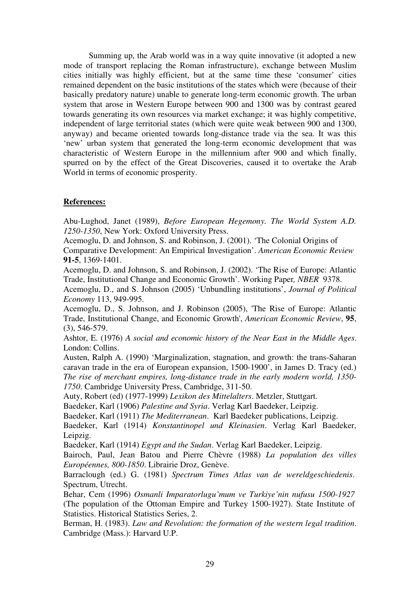Summing up, the Arab world was in a way quite innovative (it adopted a new mode of transport replacing the Roman infrastructure), exchange between Muslim cities initially was highly efficient, but at the same time these 'consumer' cities remained dependent on the basic institutions of the states which were (because of their basically predatory nature) unable to generate long-term economic growth. The urban system that arose in Western Europe between 900 and 1300 was by contrast geared towards generating its own resources via market exchange; it was highly competitive, independent of large territorial states (which were quite weak between 900 and 1300, anyway) and became oriented towards long-distance trade via the sea. It was this 'new' urban system that generated the long-term economic development that was characteristic of Western Europe in the millennium after 900 and which finally, spurred on by the effect of the Great Discoveries, caused it to overtake the Arab World in terms of economic prosperity.

# **References:**

Abu-Lughod, Janet (1989), *Before European Hegemony. The World System A.D. 1250-1350*, New York: Oxford University Press.

Acemoglu, D. and Johnson, S. and Robinson, J. (2001). 'The Colonial Origins of Comparative Development: An Empirical Investigation'. *American Economic Review*  **91-5**, 1369-1401.

Acemoglu, D. and Johnson, S. and Robinson, J. (2002). 'The Rise of Europe: Atlantic Trade, Institutional Change and Economic Growth'. Working Paper*, NBER* 9378.

Acemoglu, D., and S. Johnson (2005) 'Unbundling institutions', *Journal of Political Economy* 113, 949-995.

Acemoglu, D., S. Johnson, and J. Robinson (2005), 'The Rise of Europe: Atlantic Trade, Institutional Change, and Economic Growth', *American Economic Review*, **95**, (3), 546-579.

Ashtor, E. (1976) *A social and economic history of the Near East in the Middle Ages*. London: Collins.

Austen, Ralph A. (1990) 'Marginalization, stagnation, and growth: the trans-Saharan caravan trade in the era of European expansion, 1500-1900', in James D. Tracy (ed.) *The rise of merchant empires, long-distance trade in the early modern world, 1350- 1750*. Cambridge University Press, Cambridge, 311-50.

Auty, Robert (ed) (1977-1999) *Lexikon des Mittelalters*. Metzler, Stuttgart.

Baedeker, Karl (1906) *Palestine and Syria*. Verlag Karl Baedeker, Leipzig.

Baedeker, Karl (1911) *The Mediterranean*. Karl Baedeker publications, Leipzig.

Baedeker, Karl (1914) *Konstantinopel und Kleinasien*. Verlag Karl Baedeker, Leipzig.

Baedeker, Karl (1914) *Egypt and the Sudan*. Verlag Karl Baedeker, Leipzig.

Bairoch, Paul, Jean Batou and Pierre Chèvre (1988) *La population des villes Européennes, 800-1850*. Librairie Droz, Genève.

Barraclough (ed.) G. (1981) *Spectrum Times Atlas van de wereldgeschiedenis*. Spectrum, Utrecht.

Behar, Cem (1996) *Osmanli Imparatorlugu'mum ve Turkiye'nin nufusu 1500-1927* (The population of the Ottoman Empire and Turkey 1500-1927). State Institute of Statistics. Historical Statistics Series, 2.

Berman, H. (1983). *Law and Revolution: the formation of the western legal tradition*. Cambridge (Mass.): Harvard U.P.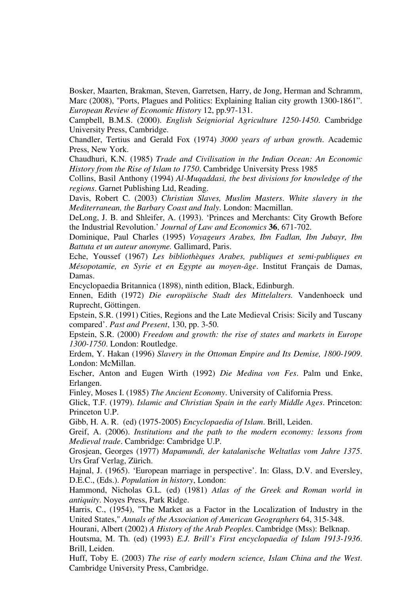Bosker, Maarten, Brakman, Steven, Garretsen, Harry, de Jong, Herman and Schramm, Marc (2008), "Ports, Plagues and Politics: Explaining Italian city growth 1300-1861". *European Review of Economic History* 12, pp.97-131.

Campbell, B.M.S. (2000). *English Seigniorial Agriculture 1250-1450*. Cambridge University Press, Cambridge.

Chandler, Tertius and Gerald Fox (1974) *3000 years of urban growth*. Academic Press, New York.

Chaudhuri, K.N. (1985) *Trade and Civilisation in the Indian Ocean: An Economic History from the Rise of Islam to 1750*. Cambridge University Press 1985

Collins, Basil Anthony (1994) *Al-Muqaddasi, the best divisions for knowledge of the regions*. Garnet Publishing Ltd, Reading.

Davis, Robert C. (2003) *Christian Slaves, Muslim Masters*. *White slavery in the Mediterranean, the Barbary Coast and Italy*. London: Macmillan.

DeLong, J. B. and Shleifer, A. (1993). 'Princes and Merchants: City Growth Before the Industrial Revolution.' *Journal of Law and Economics* **36**, 671-702.

Dominique, Paul Charles (1995) *Voyageurs Arabes, Ibn Fadlan, Ibn Jubayr, Ibn Battuta et un auteur anonyme.* Gallimard, Paris.

Eche, Youssef (1967) *Les bibliothèques Arabes, publiques et semi-publiques en Mésopotamie, en Syrie et en Egypte au moyen-âge*. Institut Français de Damas, Damas.

Encyclopaedia Britannica (1898), ninth edition, Black, Edinburgh.

Ennen, Edith (1972) *Die europäische Stadt des Mittelalters.* Vandenhoeck und Ruprecht, Göttingen.

Epstein, S.R. (1991) Cities, Regions and the Late Medieval Crisis: Sicily and Tuscany compared'. *Past and Present*, 130, pp. 3-50.

Epstein, S.R. (2000) *Freedom and growth: the rise of states and markets in Europe 1300-1750*. London: Routledge.

Erdem, Y. Hakan (1996) *Slavery in the Ottoman Empire and Its Demise, 1800-1909*. London: McMillan.

Escher, Anton and Eugen Wirth (1992) *Die Medina von Fes*. Palm und Enke, Erlangen.

Finley, Moses I. (1985) *The Ancient Economy*. University of California Press.

Glick, T.F. (1979). *Islamic and Christian Spain in the early Middle Ages*. Princeton: Princeton U.P.

Gibb, H. A. R. (ed) (1975-2005) *Encyclopaedia of Islam*. Brill, Leiden.

Greif, A. (2006). *Institutions and the path to the modern economy: lessons from Medieval trade*. Cambridge: Cambridge U.P.

Grosjean, Georges (1977) *Mapamundi, der katalanische Weltatlas vom Jahre 1375*. Urs Graf Verlag, Zürich.

Hajnal, J. (1965). 'European marriage in perspective'. In: Glass, D.V. and Eversley, D.E.C., (Eds.). *Population in history*, London:

Hammond, Nicholas G.L. (ed) (1981) *Atlas of the Greek and Roman world in antiquity*. Noyes Press, Park Ridge.

Harris, C., (1954), "The Market as a Factor in the Localization of Industry in the United States," *Annals of the Association of American Geographers* 64, 315-348.

Hourani, Albert (2002) *A History of the Arab Peoples*. Cambridge (Mss): Belknap.

Houtsma, M. Th. (ed) (1993) *E.J. Brill's First encyclopaedia of Islam 1913-1936*. Brill, Leiden.

Huff, Toby E. (2003) *The rise of early modern science, Islam China and the West*. Cambridge University Press, Cambridge.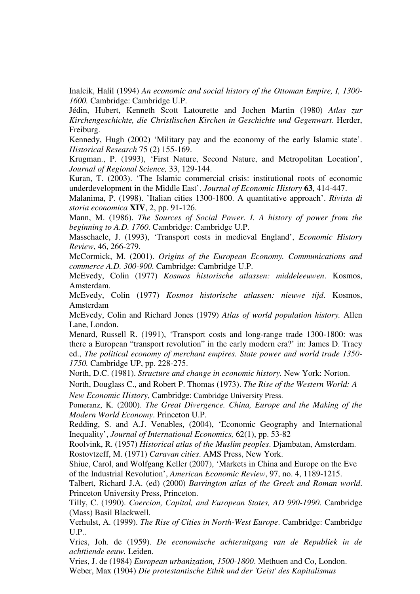Inalcik, Halil (1994) *An economic and social history of the Ottoman Empire, I, 1300- 1600.* Cambridge: Cambridge U.P.

Jédin, Hubert, Kenneth Scott Latourette and Jochen Martin (1980) *Atlas zur Kirchengeschichte, die Christlischen Kirchen in Geschichte und Gegenwart*. Herder, Freiburg.

Kennedy, Hugh (2002) 'Military pay and the economy of the early Islamic state'. *Historical Research* 75 (2) 155-169.

Krugman., P. (1993), 'First Nature, Second Nature, and Metropolitan Location', *Journal of Regional Science,* 33, 129-144.

Kuran, T. (2003). 'The Islamic commercial crisis: institutional roots of economic underdevelopment in the Middle East'. *Journal of Economic History* **63**, 414-447.

Malanima, P. (1998). 'Italian cities 1300-1800. A quantitative approach'. *Rivista di storia economica* **XIV**, 2, pp. 91-126.

Mann, M. (1986). *The Sources of Social Power. I. A history of power from the beginning to A.D. 1760*. Cambridge: Cambridge U.P.

Masschaele, J. (1993), 'Transport costs in medieval England', *Economic History Review*, 46, 266-279.

McCormick, M. (2001). *Origins of the European Economy. Communications and commerce A.D. 300-900*. Cambridge: Cambridge U.P.

McEvedy, Colin (1977) *Kosmos historische atlassen: middeleeuwen*. Kosmos, Amsterdam.

McEvedy, Colin (1977) *Kosmos historische atlassen: nieuwe tijd*. Kosmos, Amsterdam

McEvedy, Colin and Richard Jones (1979) *Atlas of world population history.* Allen Lane, London.

Menard, Russell R. (1991), 'Transport costs and long-range trade 1300-1800: was there a European "transport revolution" in the early modern era?' in: James D. Tracy ed., *The political economy of merchant empires. State power and world trade 1350- 1750.* Cambridge UP, pp. 228-275.

North, D.C. (1981). *Structure and change in economic history.* New York: Norton.

North, Douglass C., and Robert P. Thomas (1973). *The Rise of the Western World: A* 

*New Economic History*, Cambridge: Cambridge University Press.

Pomeranz, K. (2000). *The Great Divergence. China, Europe and the Making of the Modern World Economy*. Princeton U.P.

Redding, S. and A.J. Venables, (2004), 'Economic Geography and International Inequality', *Journal of International Economics,* 62(1), pp. 53-82

Roolvink, R. (1957) *Historical atlas of the Muslim peoples*. Djambatan, Amsterdam. Rostovtzeff, M. (1971) *Caravan cities*. AMS Press, New York.

Shiue, Carol, and Wolfgang Keller (2007), 'Markets in China and Europe on the Eve of the Industrial Revolution', *American Economic Review*, 97, no. 4, 1189-1215.

Talbert, Richard J.A. (ed) (2000) *Barrington atlas of the Greek and Roman world*. Princeton University Press, Princeton.

Tilly, C. (1990). *Coercion, Capital, and European States, AD 990-1990*. Cambridge (Mass) Basil Blackwell.

Verhulst, A. (1999). *The Rise of Cities in North-West Europe*. Cambridge: Cambridge U.P..

Vries, Joh. de (1959). *De economische achteruitgang van de Republiek in de achttiende eeuw.* Leiden.

Vries, J. de (1984) *European urbanization, 1500-1800*. Methuen and Co, London. Weber, Max (1904) *Die protestantische Ethik und der 'Geist' des Kapitalismus*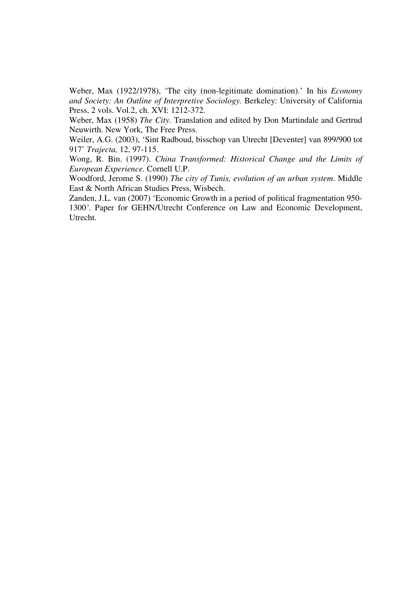Weber, Max (1922/1978), 'The city (non-legitimate domination).' In his *Economy and Society: An Outline of Interpretive Sociology.* Berkeley: University of California Press, 2 vols. Vol.2, ch. XVI: 1212-372.

Weber, Max (1958) *The City.* Translation and edited by Don Martindale and Gertrud Neuwirth. New York, The Free Press.

Weiler, A.G. (2003), 'Sint Radboud, bisschop van Utrecht [Deventer] van 899/900 tot 917' *Trajecta,* 12, 97-115.

Wong, R. Bin. (1997). *China Transformed: Historical Change and the Limits of European Experience*. Cornell U.P.

Woodford, Jerome S. (1990) *The city of Tunis, evolution of an urban system*. Middle East & North African Studies Press, Wisbech.

Zanden, J.L. van (2007) 'Economic Growth in a period of political fragmentation 950- 1300*'*. Paper for GEHN/Utrecht Conference on Law and Economic Development, Utrecht.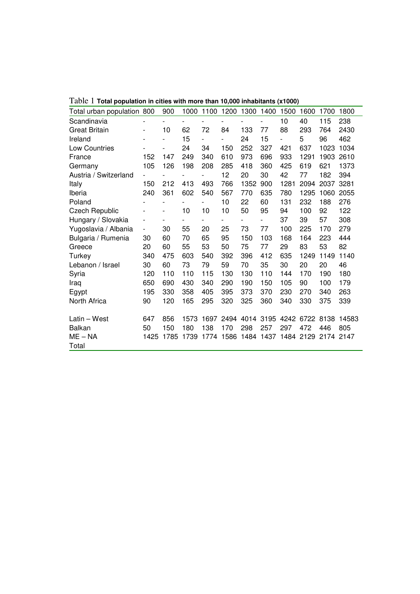| Total urban population | 800                      | 900                          | 1000                     | 1100                     | 1200                     | 1300           | 1400 | 1500 | 1600 | 1700      | 1800  |
|------------------------|--------------------------|------------------------------|--------------------------|--------------------------|--------------------------|----------------|------|------|------|-----------|-------|
| Scandinavia            |                          |                              |                          |                          | $\overline{\phantom{0}}$ |                |      | 10   | 40   | 115       | 238   |
| <b>Great Britain</b>   | $\overline{\phantom{a}}$ | 10                           | 62                       | 72                       | 84                       | 133            | 77   | 88   | 293  | 764       | 2430  |
| Ireland                |                          | $\overline{\phantom{0}}$     | 15                       | $\overline{a}$           |                          | 24             | 15   | -    | 5    | 96        | 462   |
| <b>Low Countries</b>   |                          | $\overline{\phantom{a}}$     | 24                       | 34                       | 150                      | 252            | 327  | 421  | 637  | 1023      | 1034  |
| France                 | 152                      | 147                          | 249                      | 340                      | 610                      | 973            | 696  | 933  | 1291 | 1903      | 2610  |
| Germany                | 105                      | 126                          | 198                      | 208                      | 285                      | 418            | 360  | 425  | 619  | 621       | 1373  |
| Austria / Switzerland  | $\overline{\phantom{a}}$ |                              |                          | $\overline{\phantom{0}}$ | 12                       | 20             | 30   | 42   | 77   | 182       | 394   |
| Italy                  | 150                      | 212                          | 413                      | 493                      | 766                      | 1352           | 900  | 1281 | 2094 | 2037      | 3281  |
| Iberia                 | 240                      | 361                          | 602                      | 540                      | 567                      | 770            | 635  | 780  | 1295 | 1060      | 2055  |
| Poland                 |                          |                              | $\overline{\phantom{a}}$ |                          | 10                       | 22             | 60   | 131  | 232  | 188       | 276   |
| Czech Republic         |                          | $\qquad \qquad \blacksquare$ | 10                       | 10                       | 10                       | 50             | 95   | 94   | 100  | 92        | 122   |
| Hungary / Slovakia     | $\overline{\phantom{a}}$ | $\overline{\phantom{0}}$     | $\overline{\phantom{a}}$ | $\overline{\phantom{0}}$ | $\overline{\phantom{0}}$ | $\overline{a}$ | -    | 37   | 39   | 57        | 308   |
| Yugoslavia / Albania   | $\overline{\phantom{0}}$ | 30                           | 55                       | 20                       | 25                       | 73             | 77   | 100  | 225  | 170       | 279   |
| Bulgaria / Rumenia     | 30                       | 60                           | 70                       | 65                       | 95                       | 150            | 103  | 168  | 164  | 223       | 444   |
| Greece                 | 20                       | 60                           | 55                       | 53                       | 50                       | 75             | 77   | 29   | 83   | 53        | 82    |
| Turkey                 | 340                      | 475                          | 603                      | 540                      | 392                      | 396            | 412  | 635  | 1249 | 1149      | 1140  |
| Lebanon / Israel       | 30                       | 60                           | 73                       | 79                       | 59                       | 70             | 35   | 30   | 20   | 20        | 46    |
| Syria                  | 120                      | 110                          | 110                      | 115                      | 130                      | 130            | 110  | 144  | 170  | 190       | 180   |
| Iraq                   | 650                      | 690                          | 430                      | 340                      | 290                      | 190            | 150  | 105  | 90   | 100       | 179   |
| Egypt                  | 195                      | 330                          | 358                      | 405                      | 395                      | 373            | 370  | 230  | 270  | 340       | 263   |
| North Africa           | 90                       | 120                          | 165                      | 295                      | 320                      | 325            | 360  | 340  | 330  | 375       | 339   |
| Latin - West           | 647                      | 856                          | 1573                     | 1697                     | 2494                     | 4014           | 3195 | 4242 | 6722 | 8138      | 14583 |
| <b>Balkan</b>          | 50                       | 150                          | 180                      | 138                      | 170                      | 298            | 257  | 297  | 472  | 446       | 805   |
| $ME - NA$              | 1425                     | 1785                         | 1739                     | 1774                     | 1586                     | 1484           | 1437 | 1484 | 2129 | 2174 2147 |       |
| Total                  |                          |                              |                          |                          |                          |                |      |      |      |           |       |

Table 1 **Total population in cities with more than 10,000 inhabitants (x1000)**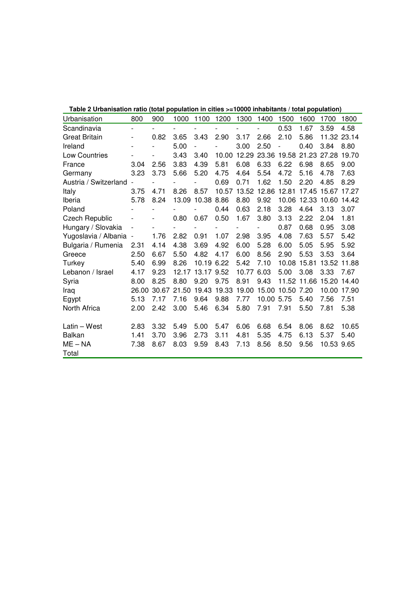| Table 2 Orbanisation ratio (total population in Cities >=10000 inhabitants / total population) |                              |       |       |                          |       |             |            |            |                   |            |             |
|------------------------------------------------------------------------------------------------|------------------------------|-------|-------|--------------------------|-------|-------------|------------|------------|-------------------|------------|-------------|
| Urbanisation                                                                                   | 800                          | 900   | 1000  | 1100                     | 1200  | 1300        | 1400       | 1500       | 1600              | 1700       | 1800        |
| Scandinavia                                                                                    | $\overline{\phantom{a}}$     |       |       |                          |       |             |            | 0.53       | 1.67              | 3.59       | 4.58        |
| <b>Great Britain</b>                                                                           | $\overline{\phantom{0}}$     | 0.82  | 3.65  | 3.43                     | 2.90  | 3.17        | 2.66       | 2.10       | 5.86              |            | 11.32 23.14 |
| Ireland                                                                                        | $\overline{a}$               |       | 5.00  | $\overline{\phantom{a}}$ |       | 3.00        | 2.50       |            | 0.40              | 3.84       | 8.80        |
| Low Countries                                                                                  |                              |       | 3.43  | 3.40                     |       | 10.00 12.29 |            |            | 23.36 19.58 21.23 | 27.28      | 19.70       |
| France                                                                                         | 3.04                         | 2.56  | 3.83  | 4.39                     | 5.81  | 6.08        | 6.33       | 6.22       | 6.98              | 8.65       | 9.00        |
| Germany                                                                                        | 3.23                         | 3.73  | 5.66  | 5.20                     | 4.75  | 4.64        | 5.54       | 4.72       | 5.16              | 4.78       | 7.63        |
| Austria / Switzerland -                                                                        |                              |       |       |                          | 0.69  | 0.71        | 1.62       | 1.50       | 2.20              | 4.85       | 8.29        |
| Italy                                                                                          | 3.75                         | 4.71  | 8.26  | 8.57                     | 10.57 | 13.52       | 12.86      | 12.81      | 17.45 15.67       |            | 17.27       |
| Iberia                                                                                         | 5.78                         | 8.24  |       | 13.09 10.38 8.86         |       | 8.80        | 9.92       |            | 10.06 12.33 10.60 |            | 14.42       |
| Poland                                                                                         |                              |       |       |                          | 0.44  | 0.63        | 2.18       | 3.28       | 4.64              | 3.13       | 3.07        |
| <b>Czech Republic</b>                                                                          |                              |       | 0.80  | 0.67                     | 0.50  | 1.67        | 3.80       | 3.13       | 2.22              | 2.04       | 1.81        |
| Hungary / Slovakia                                                                             | $\overline{a}$               |       | -     |                          |       |             |            | 0.87       | 0.68              | 0.95       | 3.08        |
| Yugoslavia / Albania                                                                           | $\qquad \qquad \blacksquare$ | 1.76  | 2.82  | 0.91                     | 1.07  | 2.98        | 3.95       | 4.08       | 7.63              | 5.57       | 5.42        |
| Bulgaria / Rumenia                                                                             | 2.31                         | 4.14  | 4.38  | 3.69                     | 4.92  | 6.00        | 5.28       | 6.00       | 5.05              | 5.95       | 5.92        |
| Greece                                                                                         | 2.50                         | 6.67  | 5.50  | 4.82                     | 4.17  | 6.00        | 8.56       | 2.90       | 5.53              | 3.53       | 3.64        |
| Turkey                                                                                         | 5.40                         | 6.99  | 8.26  | 10.19 6.22               |       | 5.42        | 7.10       | 10.08      | 15.81             | 13.52      | 11.88       |
| Lebanon / Israel                                                                               | 4.17                         | 9.23  | 12.17 | 13.17 9.52               |       | 10.77       | 6.03       | 5.00       | 3.08              | 3.33       | 7.67        |
| Syria                                                                                          | 8.00                         | 8.25  | 8.80  | 9.20                     | 9.75  | 8.91        | 9.43       |            | 11.52 11.66 15.20 |            | 14.40       |
| Iraq                                                                                           | 26.00                        | 30.67 | 21.50 | 19.43                    | 19.33 | 19.00       | 15.00      | 10.50 7.20 |                   | 10.00      | 17.90       |
| Egypt                                                                                          | 5.13                         | 7.17  | 7.16  | 9.64                     | 9.88  | 7.77        | 10.00 5.75 |            | 5.40              | 7.56       | 7.51        |
| North Africa                                                                                   | 2.00                         | 2.42  | 3.00  | 5.46                     | 6.34  | 5.80        | 7.91       | 7.91       | 5.50              | 7.81       | 5.38        |
| Latin - West                                                                                   | 2.83                         | 3.32  | 5.49  | 5.00                     | 5.47  | 6.06        | 6.68       | 6.54       | 8.06              | 8.62       | 10.65       |
| <b>Balkan</b>                                                                                  | 1.41                         | 3.70  | 3.96  | 2.73                     | 3.11  | 4.81        | 5.35       | 4.75       | 6.13              | 5.37       | 5.40        |
| $ME - NA$                                                                                      | 7.38                         | 8.67  | 8.03  | 9.59                     | 8.43  | 7.13        | 8.56       | 8.50       | 9.56              | 10.53 9.65 |             |
| Total                                                                                          |                              |       |       |                          |       |             |            |            |                   |            |             |

**Table 2 Urbanisation ratio (total population in cities >=10000 inhabitants / total population)**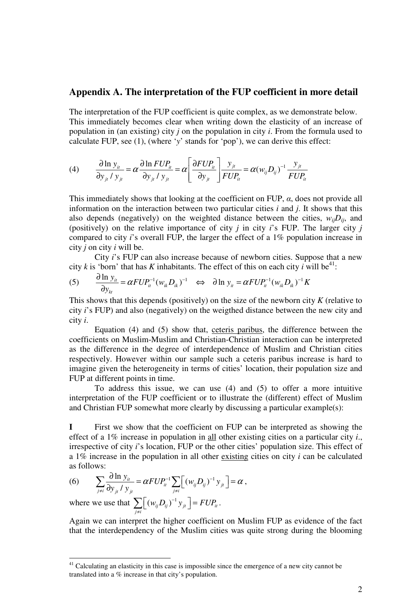# **Appendix A. The interpretation of the FUP coefficient in more detail**

The interpretation of the FUP coefficient is quite complex, as we demonstrate below. This immediately becomes clear when writing down the elasticity of an increase of population in (an existing) city *j* on the population in city *i*. From the formula used to calculate FUP, see (1), (where '*y*' stands for 'pop'), we can derive this effect:

(4) 
$$
\frac{\partial \ln y_{ii}}{\partial y_{ji} / y_{ji}} = \alpha \frac{\partial \ln FUP_{ii}}{\partial y_{ji} / y_{ji}} = \alpha \left[ \frac{\partial FUP_{ii}}{\partial y_{ji}} \right] \frac{y_{ji}}{FUP_{ii}} = \alpha (w_{ij}D_{ij})^{-1} \frac{y_{ji}}{FUP_{ii}}
$$

This immediately shows that looking at the coefficient on FUP,  $\alpha$ , does not provide all information on the interaction between two particular cities *i* and *j*. It shows that this also depends (negatively) on the weighted distance between the cities,  $w_{ij}D_{ij}$ , and (positively) on the relative importance of city *j* in city *i*'s FUP. The larger city *j* compared to city *i*'s overall FUP, the larger the effect of a 1% population increase in city *j* on city *i* will be.

 City *i*'s FUP can also increase because of newborn cities. Suppose that a new city *k* is 'born' that has *K* inhabitants. The effect of this on each city *i* will be<sup>41</sup>:

$$
(5) \qquad \frac{\partial \ln y_{ii}}{\partial y_{ki}} = \alpha F U P_{ii}^{-1} (w_{ik} D_{ik})^{-1} \quad \Leftrightarrow \quad \partial \ln y_{ii} = \alpha F U P_{ii}^{-1} (w_{ik} D_{ik})^{-1} K
$$

This shows that this depends (positively) on the size of the newborn city *K* (relative to city *i*'s FUP) and also (negatively) on the weigthed distance between the new city and city *i*.

 Equation (4) and (5) show that, ceteris paribus, the difference between the coefficients on Muslim-Muslim and Christian-Christian interaction can be interpreted as the difference in the degree of interdependence of Muslim and Christian cities respectively. However within our sample such a ceteris paribus increase is hard to imagine given the heterogeneity in terms of cities' location, their population size and FUP at different points in time.

 To address this issue, we can use (4) and (5) to offer a more intuitive interpretation of the FUP coefficient or to illustrate the (different) effect of Muslim and Christian FUP somewhat more clearly by discussing a particular example(s):

**I** First we show that the coefficient on FUP can be interpreted as showing the effect of a 1% increase in population in all other existing cities on a particular city *i*., irrespective of city *i*'s location, FUP or the other cities' population size. This effect of a 1% increase in the population in all other existing cities on city *i* can be calculated as follows:

(6) 
$$
\sum_{j \neq i} \frac{\partial \ln y_{ij}}{\partial y_{ji} / y_{ji}} = \alpha F U P_{ii}^{-1} \sum_{j \neq i} \left[ (w_{ij} D_{ij})^{-1} y_{ji} \right] = \alpha,
$$

where we use that  $\sum |(w_{ij}D_{ij})^{-1}y_{jt}| = FUP_{it}$ *j i*  $w_{ii}D_{ii}^{\qquad 0}$ <sup>-1</sup>  $y_{ii}^{\qquad}$  = *FUP*<sub>i</sub>  $\sum_{j \neq i} \left[ (w_{ij} D_{ij})^{-1} y_{jt} \right] = F U P_{it}.$ 

 $\overline{a}$ 

Again we can interpret the higher coefficient on Muslim FUP as evidence of the fact that the interdependency of the Muslim cities was quite strong during the blooming

 $41$  Calculating an elasticity in this case is impossible since the emergence of a new city cannot be translated into a % increase in that city's population.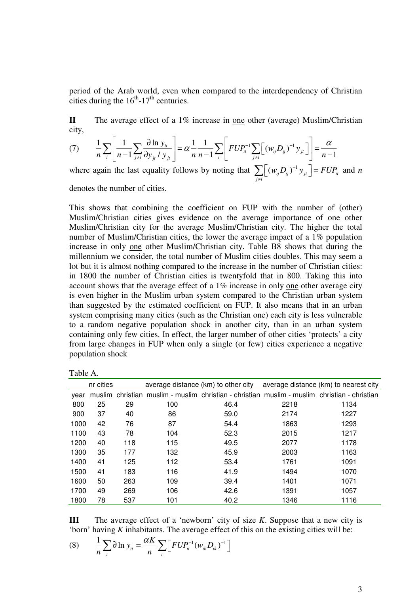period of the Arab world, even when compared to the interdependency of Christian cities during the  $16^{th}$ -17<sup>th</sup> centuries.

**II** The average effect of a 1% increase in one other (average) Muslim/Christian city,

$$
(7) \qquad \frac{1}{n} \sum_{i} \left[ \frac{1}{n-1} \sum_{j \neq i} \frac{\partial \ln y_{it}}{\partial y_{jt} / y_{jt}} \right] = \alpha \frac{1}{n} \frac{1}{n-1} \sum_{i} \left[ F U P_{it}^{-1} \sum_{j \neq i} \left[ (w_{ij} D_{ij})^{-1} y_{jt} \right] \right] = \frac{\alpha}{n-1}
$$

where again the last equality follows by noting that  $\sum |(w_{ij}D_{ij})^{-1}y_{jt}| = FUP_{it}$ *j i*  $w_{ii} D_{ii}^{-1} y_{ii} = F U P_{ii}$  $\sum_{j \neq i} [(w_{ij} D_{ij})^{-1} y_{ji}] = F U P_{ii}$  and *n* denotes the number of cities.

This shows that combining the coefficient on FUP with the number of (other) Muslim/Christian cities gives evidence on the average importance of one other Muslim/Christian city for the average Muslim/Christian city. The higher the total number of Muslim/Christian cities, the lower the average impact of a 1% population increase in only one other Muslim/Christian city. Table B8 shows that during the millennium we consider, the total number of Muslim cities doubles. This may seem a lot but it is almost nothing compared to the increase in the number of Christian cities: in 1800 the number of Christian cities is twentyfold that in 800. Taking this into account shows that the average effect of a 1% increase in only one other average city is even higher in the Muslim urban system compared to the Christian urban system than suggested by the estimated coefficient on FUP. It also means that in an urban system comprising many cities (such as the Christian one) each city is less vulnerable to a random negative population shock in another city, than in an urban system containing only few cities. In effect, the larger number of other cities 'protects' a city from large changes in FUP when only a single (or few) cities experience a negative population shock

| `able |  |
|-------|--|
|-------|--|

|      | nr cities |     |     | average distance (km) to other city |      | average distance (km) to nearest city                                                        |
|------|-----------|-----|-----|-------------------------------------|------|----------------------------------------------------------------------------------------------|
| vear |           |     |     |                                     |      | muslim christian muslim - muslim christian - christian muslim - muslim christian - christian |
| 800  | 25        | 29  | 100 | 46.4                                | 2218 | 1134                                                                                         |
| 900  | 37        | 40  | 86  | 59.0                                | 2174 | 1227                                                                                         |
| 1000 | 42        | 76  | 87  | 54.4                                | 1863 | 1293                                                                                         |
| 1100 | 43        | 78  | 104 | 52.3                                | 2015 | 1217                                                                                         |
| 1200 | 40        | 118 | 115 | 49.5                                | 2077 | 1178                                                                                         |
| 1300 | 35        | 177 | 132 | 45.9                                | 2003 | 1163                                                                                         |
| 1400 | 41        | 125 | 112 | 53.4                                | 1761 | 1091                                                                                         |
| 1500 | 41        | 183 | 116 | 41.9                                | 1494 | 1070                                                                                         |
| 1600 | 50        | 263 | 109 | 39.4                                | 1401 | 1071                                                                                         |
| 1700 | 49        | 269 | 106 | 42.6                                | 1391 | 1057                                                                                         |
| 1800 | 78        | 537 | 101 | 40.2                                | 1346 | 1116                                                                                         |

**III** The average effect of a 'newborn' city of size *K*. Suppose that a new city is 'born' having *K* inhabitants. The average effect of this on the existing cities will be:

(8) 
$$
\frac{1}{n} \sum_{i} \partial \ln y_{i} = \frac{\alpha K}{n} \sum_{i} \Big[ F U P_{i}^{-1} (w_{i k} D_{i k})^{-1} \Big]
$$